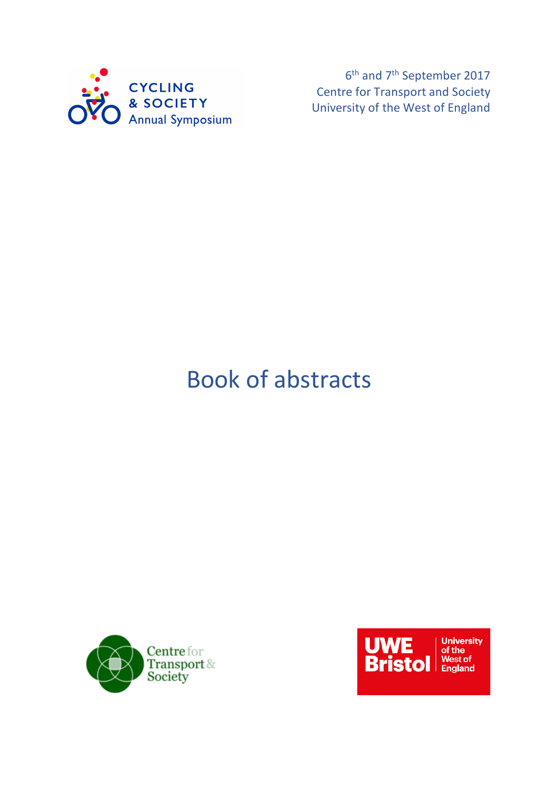

6th and 7th September 2017 Centre for Transport and Society University of the West of England

# Book of abstracts



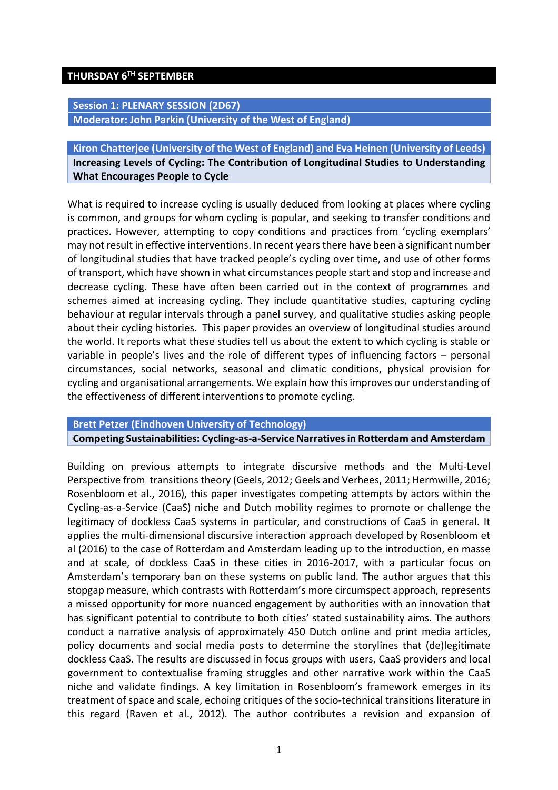# **THURSDAY 6TH SEPTEMBER**

**Session 1: PLENARY SESSION (2D67) Moderator: John Parkin (University of the West of England)**

**Kiron Chatterjee (University of the West of England) and Eva Heinen (University of Leeds) Increasing Levels of Cycling: The Contribution of Longitudinal Studies to Understanding What Encourages People to Cycle**

What is required to increase cycling is usually deduced from looking at places where cycling is common, and groups for whom cycling is popular, and seeking to transfer conditions and practices. However, attempting to copy conditions and practices from 'cycling exemplars' may not result in effective interventions. In recent years there have been a significant number of longitudinal studies that have tracked people's cycling over time, and use of other forms of transport, which have shown in what circumstances people start and stop and increase and decrease cycling. These have often been carried out in the context of programmes and schemes aimed at increasing cycling. They include quantitative studies, capturing cycling behaviour at regular intervals through a panel survey, and qualitative studies asking people about their cycling histories. This paper provides an overview of longitudinal studies around the world. It reports what these studies tell us about the extent to which cycling is stable or variable in people's lives and the role of different types of influencing factors – personal circumstances, social networks, seasonal and climatic conditions, physical provision for cycling and organisational arrangements. We explain how this improves our understanding of the effectiveness of different interventions to promote cycling.

#### **Brett Petzer (Eindhoven University of Technology)**

#### **Competing Sustainabilities: Cycling-as-a-Service Narratives in Rotterdam and Amsterdam**

Building on previous attempts to integrate discursive methods and the Multi-Level Perspective from transitions theory (Geels, 2012; Geels and Verhees, 2011; Hermwille, 2016; Rosenbloom et al., 2016), this paper investigates competing attempts by actors within the Cycling-as-a-Service (CaaS) niche and Dutch mobility regimes to promote or challenge the legitimacy of dockless CaaS systems in particular, and constructions of CaaS in general. It applies the multi-dimensional discursive interaction approach developed by Rosenbloom et al (2016) to the case of Rotterdam and Amsterdam leading up to the introduction, en masse and at scale, of dockless CaaS in these cities in 2016-2017, with a particular focus on Amsterdam's temporary ban on these systems on public land. The author argues that this stopgap measure, which contrasts with Rotterdam's more circumspect approach, represents a missed opportunity for more nuanced engagement by authorities with an innovation that has significant potential to contribute to both cities' stated sustainability aims. The authors conduct a narrative analysis of approximately 450 Dutch online and print media articles, policy documents and social media posts to determine the storylines that (de)legitimate dockless CaaS. The results are discussed in focus groups with users, CaaS providers and local government to contextualise framing struggles and other narrative work within the CaaS niche and validate findings. A key limitation in Rosenbloom's framework emerges in its treatment of space and scale, echoing critiques of the socio-technical transitions literature in this regard (Raven et al., 2012). The author contributes a revision and expansion of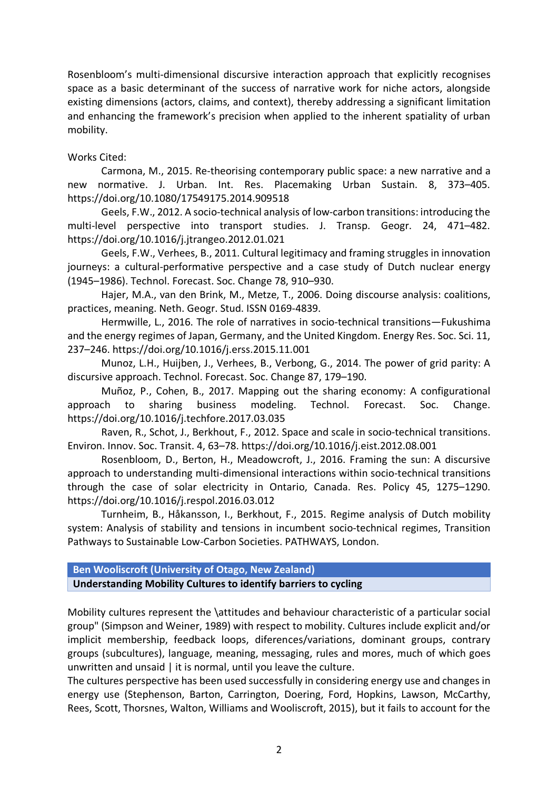Rosenbloom's multi-dimensional discursive interaction approach that explicitly recognises space as a basic determinant of the success of narrative work for niche actors, alongside existing dimensions (actors, claims, and context), thereby addressing a significant limitation and enhancing the framework's precision when applied to the inherent spatiality of urban mobility.

Works Cited:

Carmona, M., 2015. Re-theorising contemporary public space: a new narrative and a new normative. J. Urban. Int. Res. Placemaking Urban Sustain. 8, 373–405. https://doi.org/10.1080/17549175.2014.909518

Geels, F.W., 2012. A socio-technical analysis of low-carbon transitions: introducing the multi-level perspective into transport studies. J. Transp. Geogr. 24, 471–482. https://doi.org/10.1016/j.jtrangeo.2012.01.021

Geels, F.W., Verhees, B., 2011. Cultural legitimacy and framing struggles in innovation journeys: a cultural-performative perspective and a case study of Dutch nuclear energy (1945–1986). Technol. Forecast. Soc. Change 78, 910–930.

Hajer, M.A., van den Brink, M., Metze, T., 2006. Doing discourse analysis: coalitions, practices, meaning. Neth. Geogr. Stud. ISSN 0169-4839.

Hermwille, L., 2016. The role of narratives in socio-technical transitions—Fukushima and the energy regimes of Japan, Germany, and the United Kingdom. Energy Res. Soc. Sci. 11, 237–246. https://doi.org/10.1016/j.erss.2015.11.001

Munoz, L.H., Huijben, J., Verhees, B., Verbong, G., 2014. The power of grid parity: A discursive approach. Technol. Forecast. Soc. Change 87, 179–190.

Muñoz, P., Cohen, B., 2017. Mapping out the sharing economy: A configurational approach to sharing business modeling. Technol. Forecast. Soc. Change. https://doi.org/10.1016/j.techfore.2017.03.035

Raven, R., Schot, J., Berkhout, F., 2012. Space and scale in socio-technical transitions. Environ. Innov. Soc. Transit. 4, 63–78. https://doi.org/10.1016/j.eist.2012.08.001

Rosenbloom, D., Berton, H., Meadowcroft, J., 2016. Framing the sun: A discursive approach to understanding multi-dimensional interactions within socio-technical transitions through the case of solar electricity in Ontario, Canada. Res. Policy 45, 1275–1290. https://doi.org/10.1016/j.respol.2016.03.012

Turnheim, B., Håkansson, I., Berkhout, F., 2015. Regime analysis of Dutch mobility system: Analysis of stability and tensions in incumbent socio-technical regimes, Transition Pathways to Sustainable Low-Carbon Societies. PATHWAYS, London.

**Ben Wooliscroft (University of Otago, New Zealand) Understanding Mobility Cultures to identify barriers to cycling**

Mobility cultures represent the \attitudes and behaviour characteristic of a particular social group" (Simpson and Weiner, 1989) with respect to mobility. Cultures include explicit and/or implicit membership, feedback loops, diferences/variations, dominant groups, contrary groups (subcultures), language, meaning, messaging, rules and mores, much of which goes unwritten and unsaid | it is normal, until you leave the culture.

The cultures perspective has been used successfully in considering energy use and changes in energy use (Stephenson, Barton, Carrington, Doering, Ford, Hopkins, Lawson, McCarthy, Rees, Scott, Thorsnes, Walton, Williams and Wooliscroft, 2015), but it fails to account for the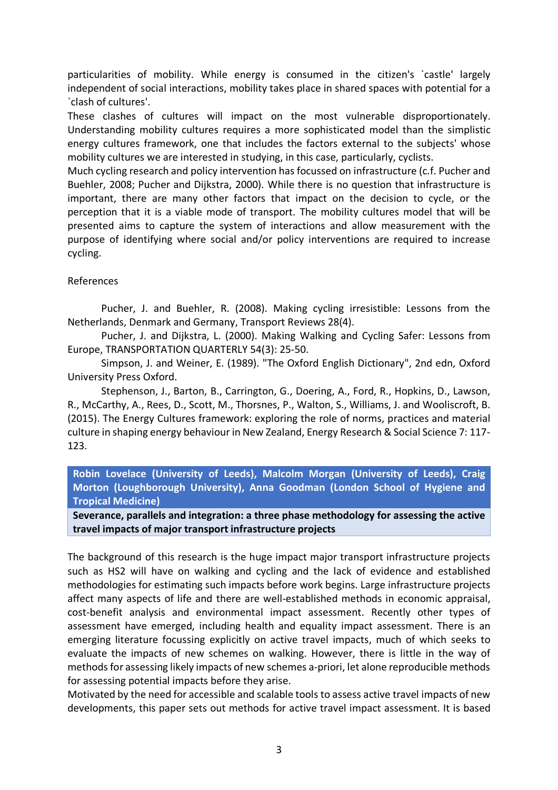particularities of mobility. While energy is consumed in the citizen's `castle' largely independent of social interactions, mobility takes place in shared spaces with potential for a `clash of cultures'.

These clashes of cultures will impact on the most vulnerable disproportionately. Understanding mobility cultures requires a more sophisticated model than the simplistic energy cultures framework, one that includes the factors external to the subjects' whose mobility cultures we are interested in studying, in this case, particularly, cyclists.

Much cycling research and policy intervention has focussed on infrastructure (c.f. Pucher and Buehler, 2008; Pucher and Dijkstra, 2000). While there is no question that infrastructure is important, there are many other factors that impact on the decision to cycle, or the perception that it is a viable mode of transport. The mobility cultures model that will be presented aims to capture the system of interactions and allow measurement with the purpose of identifying where social and/or policy interventions are required to increase cycling.

## References

Pucher, J. and Buehler, R. (2008). Making cycling irresistible: Lessons from the Netherlands, Denmark and Germany, Transport Reviews 28(4).

Pucher, J. and Dijkstra, L. (2000). Making Walking and Cycling Safer: Lessons from Europe, TRANSPORTATION QUARTERLY 54(3): 25-50.

Simpson, J. and Weiner, E. (1989). "The Oxford English Dictionary", 2nd edn, Oxford University Press Oxford.

Stephenson, J., Barton, B., Carrington, G., Doering, A., Ford, R., Hopkins, D., Lawson, R., McCarthy, A., Rees, D., Scott, M., Thorsnes, P., Walton, S., Williams, J. and Wooliscroft, B. (2015). The Energy Cultures framework: exploring the role of norms, practices and material culture in shaping energy behaviour in New Zealand, Energy Research & Social Science 7: 117- 123.

**Robin Lovelace (University of Leeds), Malcolm Morgan (University of Leeds), Craig Morton (Loughborough University), Anna Goodman (London School of Hygiene and Tropical Medicine)**

**Severance, parallels and integration: a three phase methodology for assessing the active travel impacts of major transport infrastructure projects**

The background of this research is the huge impact major transport infrastructure projects such as HS2 will have on walking and cycling and the lack of evidence and established methodologies for estimating such impacts before work begins. Large infrastructure projects affect many aspects of life and there are well-established methods in economic appraisal, cost-benefit analysis and environmental impact assessment. Recently other types of assessment have emerged, including health and equality impact assessment. There is an emerging literature focussing explicitly on active travel impacts, much of which seeks to evaluate the impacts of new schemes on walking. However, there is little in the way of methods for assessing likely impacts of new schemes a-priori, let alone reproducible methods for assessing potential impacts before they arise.

Motivated by the need for accessible and scalable tools to assess active travel impacts of new developments, this paper sets out methods for active travel impact assessment. It is based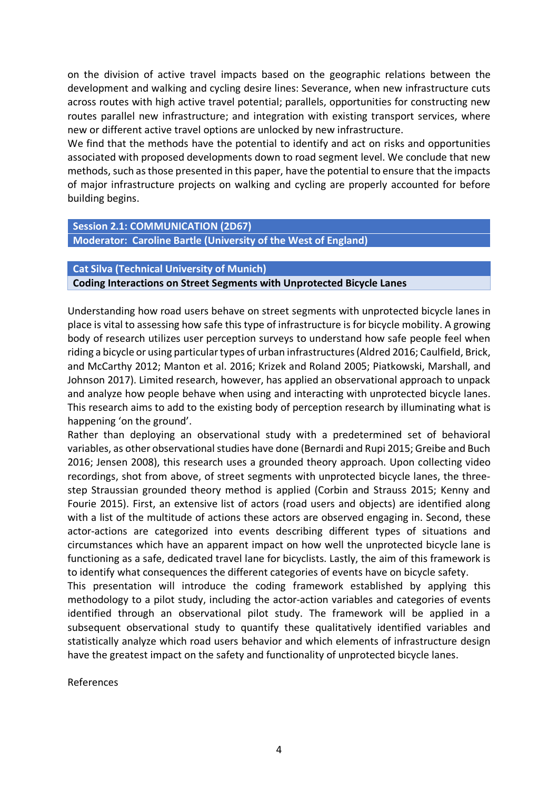on the division of active travel impacts based on the geographic relations between the development and walking and cycling desire lines: Severance, when new infrastructure cuts across routes with high active travel potential; parallels, opportunities for constructing new routes parallel new infrastructure; and integration with existing transport services, where new or different active travel options are unlocked by new infrastructure.

We find that the methods have the potential to identify and act on risks and opportunities associated with proposed developments down to road segment level. We conclude that new methods, such as those presented in this paper, have the potential to ensure that the impacts of major infrastructure projects on walking and cycling are properly accounted for before building begins.

#### **Session 2.1: COMMUNICATION (2D67)**

**Moderator: Caroline Bartle (University of the West of England)**

#### **Cat Silva (Technical University of Munich)**

**Coding Interactions on Street Segments with Unprotected Bicycle Lanes**

Understanding how road users behave on street segments with unprotected bicycle lanes in place is vital to assessing how safe this type of infrastructure is for bicycle mobility. A growing body of research utilizes user perception surveys to understand how safe people feel when riding a bicycle or using particular types of urban infrastructures (Aldred 2016; Caulfield, Brick, and McCarthy 2012; Manton et al. 2016; Krizek and Roland 2005; Piatkowski, Marshall, and Johnson 2017). Limited research, however, has applied an observational approach to unpack and analyze how people behave when using and interacting with unprotected bicycle lanes. This research aims to add to the existing body of perception research by illuminating what is happening 'on the ground'.

Rather than deploying an observational study with a predetermined set of behavioral variables, as other observational studies have done (Bernardi and Rupi 2015; Greibe and Buch 2016; Jensen 2008), this research uses a grounded theory approach. Upon collecting video recordings, shot from above, of street segments with unprotected bicycle lanes, the threestep Straussian grounded theory method is applied (Corbin and Strauss 2015; Kenny and Fourie 2015). First, an extensive list of actors (road users and objects) are identified along with a list of the multitude of actions these actors are observed engaging in. Second, these actor-actions are categorized into events describing different types of situations and circumstances which have an apparent impact on how well the unprotected bicycle lane is functioning as a safe, dedicated travel lane for bicyclists. Lastly, the aim of this framework is to identify what consequences the different categories of events have on bicycle safety.

This presentation will introduce the coding framework established by applying this methodology to a pilot study, including the actor-action variables and categories of events identified through an observational pilot study. The framework will be applied in a subsequent observational study to quantify these qualitatively identified variables and statistically analyze which road users behavior and which elements of infrastructure design have the greatest impact on the safety and functionality of unprotected bicycle lanes.

References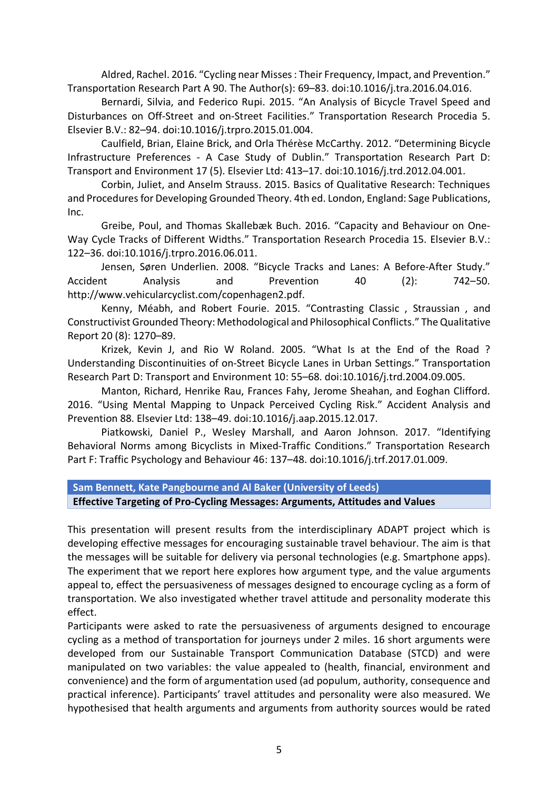Aldred, Rachel. 2016. "Cycling near Misses : Their Frequency, Impact, and Prevention." Transportation Research Part A 90. The Author(s): 69–83. doi:10.1016/j.tra.2016.04.016.

Bernardi, Silvia, and Federico Rupi. 2015. "An Analysis of Bicycle Travel Speed and Disturbances on Off-Street and on-Street Facilities." Transportation Research Procedia 5. Elsevier B.V.: 82–94. doi:10.1016/j.trpro.2015.01.004.

Caulfield, Brian, Elaine Brick, and Orla Thérèse McCarthy. 2012. "Determining Bicycle Infrastructure Preferences - A Case Study of Dublin." Transportation Research Part D: Transport and Environment 17 (5). Elsevier Ltd: 413–17. doi:10.1016/j.trd.2012.04.001.

Corbin, Juliet, and Anselm Strauss. 2015. Basics of Qualitative Research: Techniques and Procedures for Developing Grounded Theory. 4th ed. London, England: Sage Publications, Inc.

Greibe, Poul, and Thomas Skallebæk Buch. 2016. "Capacity and Behaviour on One-Way Cycle Tracks of Different Widths." Transportation Research Procedia 15. Elsevier B.V.: 122–36. doi:10.1016/j.trpro.2016.06.011.

Jensen, Søren Underlien. 2008. "Bicycle Tracks and Lanes: A Before-After Study." Accident Analysis and Prevention 40 (2): 742–50. http://www.vehicularcyclist.com/copenhagen2.pdf.

Kenny, Méabh, and Robert Fourie. 2015. "Contrasting Classic , Straussian , and Constructivist Grounded Theory: Methodological and Philosophical Conflicts." The Qualitative Report 20 (8): 1270–89.

Krizek, Kevin J, and Rio W Roland. 2005. "What Is at the End of the Road ? Understanding Discontinuities of on-Street Bicycle Lanes in Urban Settings." Transportation Research Part D: Transport and Environment 10: 55–68. doi:10.1016/j.trd.2004.09.005.

Manton, Richard, Henrike Rau, Frances Fahy, Jerome Sheahan, and Eoghan Clifford. 2016. "Using Mental Mapping to Unpack Perceived Cycling Risk." Accident Analysis and Prevention 88. Elsevier Ltd: 138–49. doi:10.1016/j.aap.2015.12.017.

Piatkowski, Daniel P., Wesley Marshall, and Aaron Johnson. 2017. "Identifying Behavioral Norms among Bicyclists in Mixed-Traffic Conditions." Transportation Research Part F: Traffic Psychology and Behaviour 46: 137–48. doi:10.1016/j.trf.2017.01.009.

## **Sam Bennett, Kate Pangbourne and Al Baker (University of Leeds) Effective Targeting of Pro-Cycling Messages: Arguments, Attitudes and Values**

This presentation will present results from the interdisciplinary ADAPT project which is developing effective messages for encouraging sustainable travel behaviour. The aim is that the messages will be suitable for delivery via personal technologies (e.g. Smartphone apps). The experiment that we report here explores how argument type, and the value arguments appeal to, effect the persuasiveness of messages designed to encourage cycling as a form of transportation. We also investigated whether travel attitude and personality moderate this effect.

Participants were asked to rate the persuasiveness of arguments designed to encourage cycling as a method of transportation for journeys under 2 miles. 16 short arguments were developed from our Sustainable Transport Communication Database (STCD) and were manipulated on two variables: the value appealed to (health, financial, environment and convenience) and the form of argumentation used (ad populum, authority, consequence and practical inference). Participants' travel attitudes and personality were also measured. We hypothesised that health arguments and arguments from authority sources would be rated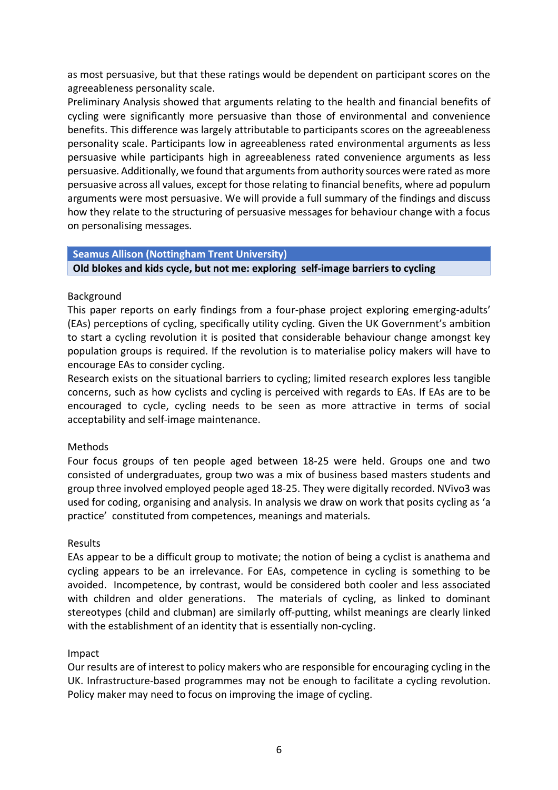as most persuasive, but that these ratings would be dependent on participant scores on the agreeableness personality scale.

Preliminary Analysis showed that arguments relating to the health and financial benefits of cycling were significantly more persuasive than those of environmental and convenience benefits. This difference was largely attributable to participants scores on the agreeableness personality scale. Participants low in agreeableness rated environmental arguments as less persuasive while participants high in agreeableness rated convenience arguments as less persuasive. Additionally, we found that arguments from authority sources were rated as more persuasive across all values, except for those relating to financial benefits, where ad populum arguments were most persuasive. We will provide a full summary of the findings and discuss how they relate to the structuring of persuasive messages for behaviour change with a focus on personalising messages.

## **Seamus Allison (Nottingham Trent University)**

**Old blokes and kids cycle, but not me: exploring self-image barriers to cycling**

#### Background

This paper reports on early findings from a four-phase project exploring emerging-adults' (EAs) perceptions of cycling, specifically utility cycling. Given the UK Government's ambition to start a cycling revolution it is posited that considerable behaviour change amongst key population groups is required. If the revolution is to materialise policy makers will have to encourage EAs to consider cycling.

Research exists on the situational barriers to cycling; limited research explores less tangible concerns, such as how cyclists and cycling is perceived with regards to EAs. If EAs are to be encouraged to cycle, cycling needs to be seen as more attractive in terms of social acceptability and self-image maintenance.

## Methods

Four focus groups of ten people aged between 18-25 were held. Groups one and two consisted of undergraduates, group two was a mix of business based masters students and group three involved employed people aged 18-25. They were digitally recorded. NVivo3 was used for coding, organising and analysis. In analysis we draw on work that posits cycling as 'a practice' constituted from competences, meanings and materials.

## Results

EAs appear to be a difficult group to motivate; the notion of being a cyclist is anathema and cycling appears to be an irrelevance. For EAs, competence in cycling is something to be avoided. Incompetence, by contrast, would be considered both cooler and less associated with children and older generations. The materials of cycling, as linked to dominant stereotypes (child and clubman) are similarly off-putting, whilst meanings are clearly linked with the establishment of an identity that is essentially non-cycling.

## Impact

Our results are of interest to policy makers who are responsible for encouraging cycling in the UK. Infrastructure-based programmes may not be enough to facilitate a cycling revolution. Policy maker may need to focus on improving the image of cycling.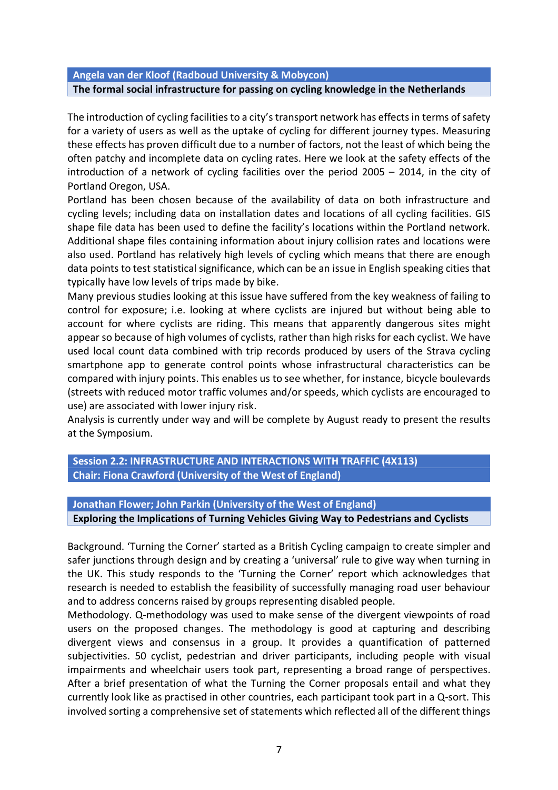## **Angela van der Kloof (Radboud University & Mobycon) The formal social infrastructure for passing on cycling knowledge in the Netherlands**

The introduction of cycling facilities to a city's transport network has effects in terms of safety for a variety of users as well as the uptake of cycling for different journey types. Measuring these effects has proven difficult due to a number of factors, not the least of which being the often patchy and incomplete data on cycling rates. Here we look at the safety effects of the introduction of a network of cycling facilities over the period 2005 – 2014, in the city of Portland Oregon, USA.

Portland has been chosen because of the availability of data on both infrastructure and cycling levels; including data on installation dates and locations of all cycling facilities. GIS shape file data has been used to define the facility's locations within the Portland network. Additional shape files containing information about injury collision rates and locations were also used. Portland has relatively high levels of cycling which means that there are enough data points to test statistical significance, which can be an issue in English speaking cities that typically have low levels of trips made by bike.

Many previous studies looking at this issue have suffered from the key weakness of failing to control for exposure; i.e. looking at where cyclists are injured but without being able to account for where cyclists are riding. This means that apparently dangerous sites might appear so because of high volumes of cyclists, rather than high risks for each cyclist. We have used local count data combined with trip records produced by users of the Strava cycling smartphone app to generate control points whose infrastructural characteristics can be compared with injury points. This enables us to see whether, for instance, bicycle boulevards (streets with reduced motor traffic volumes and/or speeds, which cyclists are encouraged to use) are associated with lower injury risk.

Analysis is currently under way and will be complete by August ready to present the results at the Symposium.

**Session 2.2: INFRASTRUCTURE AND INTERACTIONS WITH TRAFFIC (4X113) Chair: Fiona Crawford (University of the West of England)**

**Jonathan Flower; John Parkin (University of the West of England) Exploring the Implications of Turning Vehicles Giving Way to Pedestrians and Cyclists**

Background. 'Turning the Corner' started as a British Cycling campaign to create simpler and safer junctions through design and by creating a 'universal' rule to give way when turning in the UK. This study responds to the 'Turning the Corner' report which acknowledges that research is needed to establish the feasibility of successfully managing road user behaviour and to address concerns raised by groups representing disabled people.

Methodology. Q-methodology was used to make sense of the divergent viewpoints of road users on the proposed changes. The methodology is good at capturing and describing divergent views and consensus in a group. It provides a quantification of patterned subjectivities. 50 cyclist, pedestrian and driver participants, including people with visual impairments and wheelchair users took part, representing a broad range of perspectives. After a brief presentation of what the Turning the Corner proposals entail and what they currently look like as practised in other countries, each participant took part in a Q-sort. This involved sorting a comprehensive set of statements which reflected all of the different things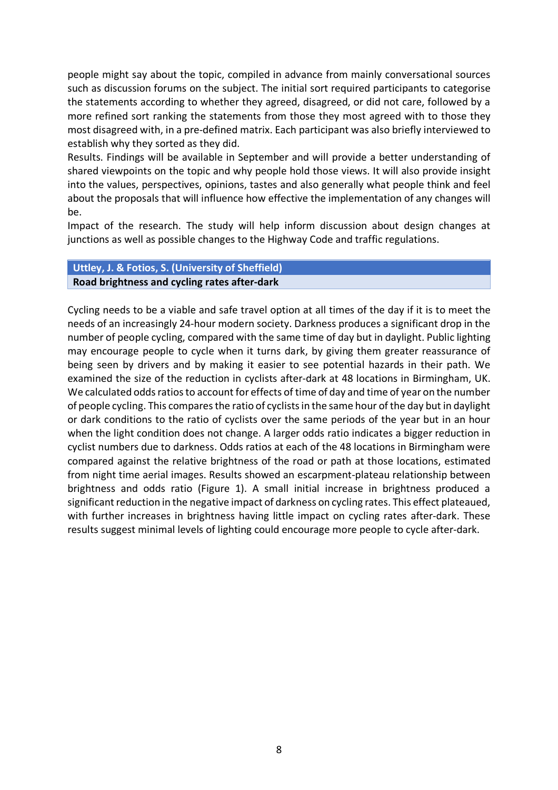people might say about the topic, compiled in advance from mainly conversational sources such as discussion forums on the subject. The initial sort required participants to categorise the statements according to whether they agreed, disagreed, or did not care, followed by a more refined sort ranking the statements from those they most agreed with to those they most disagreed with, in a pre-defined matrix. Each participant was also briefly interviewed to establish why they sorted as they did.

Results. Findings will be available in September and will provide a better understanding of shared viewpoints on the topic and why people hold those views. It will also provide insight into the values, perspectives, opinions, tastes and also generally what people think and feel about the proposals that will influence how effective the implementation of any changes will be.

Impact of the research. The study will help inform discussion about design changes at junctions as well as possible changes to the Highway Code and traffic regulations.

# **Uttley, J. & Fotios, S. (University of Sheffield) Road brightness and cycling rates after-dark**

Cycling needs to be a viable and safe travel option at all times of the day if it is to meet the needs of an increasingly 24-hour modern society. Darkness produces a significant drop in the number of people cycling, compared with the same time of day but in daylight. Public lighting may encourage people to cycle when it turns dark, by giving them greater reassurance of being seen by drivers and by making it easier to see potential hazards in their path. We examined the size of the reduction in cyclists after-dark at 48 locations in Birmingham, UK. We calculated odds ratios to account for effects of time of day and time of year on the number of people cycling. This compares the ratio of cyclists in the same hour of the day but in daylight or dark conditions to the ratio of cyclists over the same periods of the year but in an hour when the light condition does not change. A larger odds ratio indicates a bigger reduction in cyclist numbers due to darkness. Odds ratios at each of the 48 locations in Birmingham were compared against the relative brightness of the road or path at those locations, estimated from night time aerial images. Results showed an escarpment-plateau relationship between brightness and odds ratio (Figure 1). A small initial increase in brightness produced a significant reduction in the negative impact of darkness on cycling rates. This effect plateaued, with further increases in brightness having little impact on cycling rates after-dark. These results suggest minimal levels of lighting could encourage more people to cycle after-dark.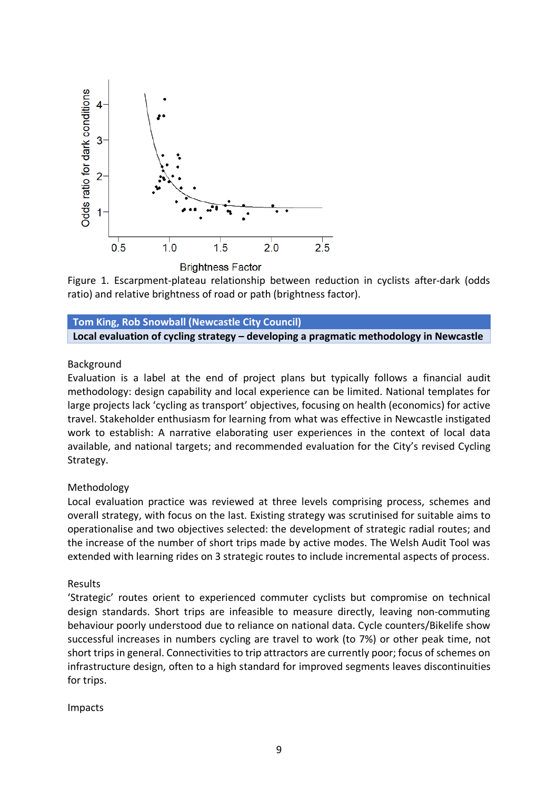

Figure 1. Escarpment-plateau relationship between reduction in cyclists after-dark (odds ratio) and relative brightness of road or path (brightness factor).

# **Tom King, Rob Snowball (Newcastle City Council) Local evaluation of cycling strategy – developing a pragmatic methodology in Newcastle**

# Background

Evaluation is a label at the end of project plans but typically follows a financial audit methodology: design capability and local experience can be limited. National templates for large projects lack 'cycling as transport' objectives, focusing on health (economics) for active travel. Stakeholder enthusiasm for learning from what was effective in Newcastle instigated work to establish: A narrative elaborating user experiences in the context of local data available, and national targets; and recommended evaluation for the City's revised Cycling Strategy.

# Methodology

Local evaluation practice was reviewed at three levels comprising process, schemes and overall strategy, with focus on the last. Existing strategy was scrutinised for suitable aims to operationalise and two objectives selected: the development of strategic radial routes; and the increase of the number of short trips made by active modes. The Welsh Audit Tool was extended with learning rides on 3 strategic routes to include incremental aspects of process.

# Results

'Strategic' routes orient to experienced commuter cyclists but compromise on technical design standards. Short trips are infeasible to measure directly, leaving non-commuting behaviour poorly understood due to reliance on national data. Cycle counters/Bikelife show successful increases in numbers cycling are travel to work (to 7%) or other peak time, not short trips in general. Connectivities to trip attractors are currently poor; focus of schemes on infrastructure design, often to a high standard for improved segments leaves discontinuities for trips.

# Impacts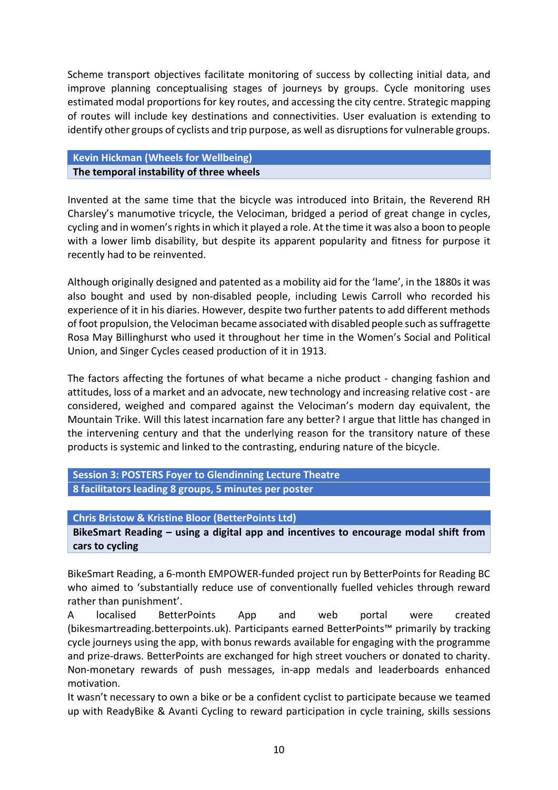Scheme transport objectives facilitate monitoring of success by collecting initial data, and improve planning conceptualising stages of journeys by groups. Cycle monitoring uses estimated modal proportions for key routes, and accessing the city centre. Strategic mapping of routes will include key destinations and connectivities. User evaluation is extending to identify other groups of cyclists and trip purpose, as well as disruptions for vulnerable groups.

## **Kevin Hickman (Wheels for Wellbeing) The temporal instability of three wheels**

Invented at the same time that the bicycle was introduced into Britain, the Reverend RH Charsley's manumotive tricycle, the Velociman, bridged a period of great change in cycles, cycling and in women's rights in which it played a role. At the time it was also a boon to people with a lower limb disability, but despite its apparent popularity and fitness for purpose it recently had to be reinvented.

Although originally designed and patented as a mobility aid for the 'lame', in the 1880s it was also bought and used by non-disabled people, including Lewis Carroll who recorded his experience of it in his diaries. However, despite two further patents to add different methods of foot propulsion, the Velociman became associated with disabled people such as suffragette Rosa May Billinghurst who used it throughout her time in the Women's Social and Political Union, and Singer Cycles ceased production of it in 1913.

The factors affecting the fortunes of what became a niche product - changing fashion and attitudes, loss of a market and an advocate, new technology and increasing relative cost - are considered, weighed and compared against the Velociman's modern day equivalent, the Mountain Trike. Will this latest incarnation fare any better? I argue that little has changed in the intervening century and that the underlying reason for the transitory nature of these products is systemic and linked to the contrasting, enduring nature of the bicycle.

**Session 3: POSTERS Foyer to Glendinning Lecture Theatre 8 facilitators leading 8 groups, 5 minutes per poster**

**Chris Bristow & Kristine Bloor (BetterPoints Ltd)**

**BikeSmart Reading – using a digital app and incentives to encourage modal shift from cars to cycling**

BikeSmart Reading, a 6-month EMPOWER-funded project run by BetterPoints for Reading BC who aimed to 'substantially reduce use of conventionally fuelled vehicles through reward rather than punishment'.

A localised BetterPoints App and web portal were created (bikesmartreading.betterpoints.uk). Participants earned BetterPoints™ primarily by tracking cycle journeys using the app, with bonus rewards available for engaging with the programme and prize-draws. BetterPoints are exchanged for high street vouchers or donated to charity. Non-monetary rewards of push messages, in-app medals and leaderboards enhanced motivation.

It wasn't necessary to own a bike or be a confident cyclist to participate because we teamed up with ReadyBike & Avanti Cycling to reward participation in cycle training, skills sessions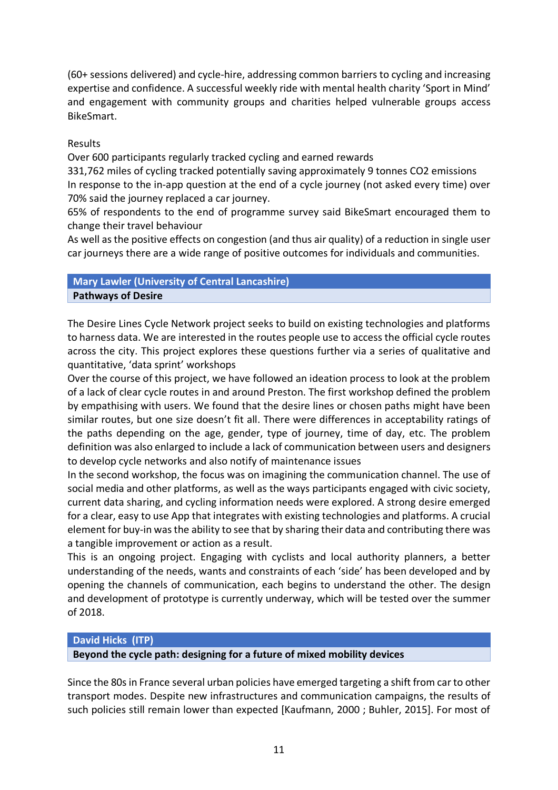(60+ sessions delivered) and cycle-hire, addressing common barriers to cycling and increasing expertise and confidence. A successful weekly ride with mental health charity 'Sport in Mind' and engagement with community groups and charities helped vulnerable groups access BikeSmart.

## Results

Over 600 participants regularly tracked cycling and earned rewards

331,762 miles of cycling tracked potentially saving approximately 9 tonnes CO2 emissions In response to the in-app question at the end of a cycle journey (not asked every time) over 70% said the journey replaced a car journey.

65% of respondents to the end of programme survey said BikeSmart encouraged them to change their travel behaviour

As well as the positive effects on congestion (and thus air quality) of a reduction in single user car journeys there are a wide range of positive outcomes for individuals and communities.

**Mary Lawler (University of Central Lancashire) Pathways of Desire**

The Desire Lines Cycle Network project seeks to build on existing technologies and platforms to harness data. We are interested in the routes people use to access the official cycle routes across the city. This project explores these questions further via a series of qualitative and quantitative, 'data sprint' workshops

Over the course of this project, we have followed an ideation process to look at the problem of a lack of clear cycle routes in and around Preston. The first workshop defined the problem by empathising with users. We found that the desire lines or chosen paths might have been similar routes, but one size doesn't fit all. There were differences in acceptability ratings of the paths depending on the age, gender, type of journey, time of day, etc. The problem definition was also enlarged to include a lack of communication between users and designers to develop cycle networks and also notify of maintenance issues

In the second workshop, the focus was on imagining the communication channel. The use of social media and other platforms, as well as the ways participants engaged with civic society, current data sharing, and cycling information needs were explored. A strong desire emerged for a clear, easy to use App that integrates with existing technologies and platforms. A crucial element for buy-in was the ability to see that by sharing their data and contributing there was a tangible improvement or action as a result.

This is an ongoing project. Engaging with cyclists and local authority planners, a better understanding of the needs, wants and constraints of each 'side' has been developed and by opening the channels of communication, each begins to understand the other. The design and development of prototype is currently underway, which will be tested over the summer of 2018.

## **David Hicks (ITP)**

**Beyond the cycle path: designing for a future of mixed mobility devices**

Since the 80s in France several urban policies have emerged targeting a shift from car to other transport modes. Despite new infrastructures and communication campaigns, the results of such policies still remain lower than expected [Kaufmann, 2000 ; Buhler, 2015]. For most of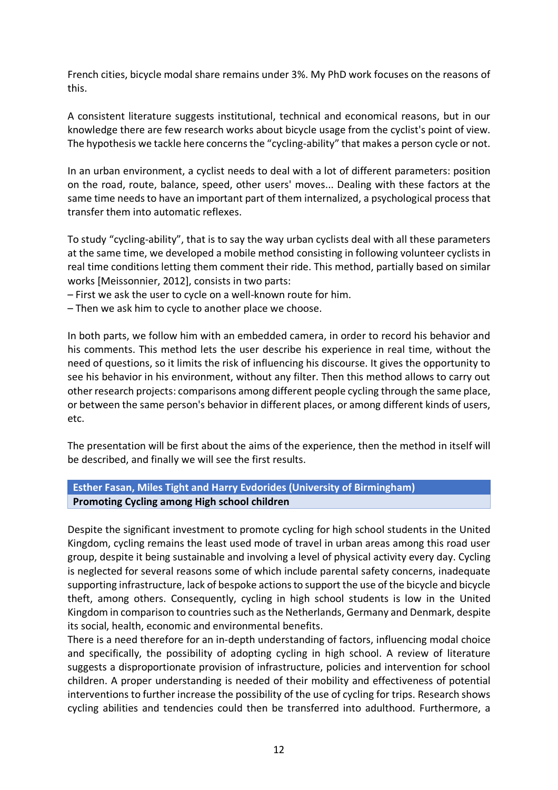French cities, bicycle modal share remains under 3%. My PhD work focuses on the reasons of this.

A consistent literature suggests institutional, technical and economical reasons, but in our knowledge there are few research works about bicycle usage from the cyclist's point of view. The hypothesis we tackle here concerns the "cycling-ability" that makes a person cycle or not.

In an urban environment, a cyclist needs to deal with a lot of different parameters: position on the road, route, balance, speed, other users' moves... Dealing with these factors at the same time needs to have an important part of them internalized, a psychological process that transfer them into automatic reflexes.

To study "cycling-ability", that is to say the way urban cyclists deal with all these parameters at the same time, we developed a mobile method consisting in following volunteer cyclists in real time conditions letting them comment their ride. This method, partially based on similar works [Meissonnier, 2012], consists in two parts:

– First we ask the user to cycle on a well-known route for him.

– Then we ask him to cycle to another place we choose.

In both parts, we follow him with an embedded camera, in order to record his behavior and his comments. This method lets the user describe his experience in real time, without the need of questions, so it limits the risk of influencing his discourse. It gives the opportunity to see his behavior in his environment, without any filter. Then this method allows to carry out other research projects: comparisons among different people cycling through the same place, or between the same person's behavior in different places, or among different kinds of users, etc.

The presentation will be first about the aims of the experience, then the method in itself will be described, and finally we will see the first results.

# **Esther Fasan, Miles Tight and Harry Evdorides (University of Birmingham) Promoting Cycling among High school children**

Despite the significant investment to promote cycling for high school students in the United Kingdom, cycling remains the least used mode of travel in urban areas among this road user group, despite it being sustainable and involving a level of physical activity every day. Cycling is neglected for several reasons some of which include parental safety concerns, inadequate supporting infrastructure, lack of bespoke actions to support the use of the bicycle and bicycle theft, among others. Consequently, cycling in high school students is low in the United Kingdom in comparison to countries such as the Netherlands, Germany and Denmark, despite its social, health, economic and environmental benefits.

There is a need therefore for an in-depth understanding of factors, influencing modal choice and specifically, the possibility of adopting cycling in high school. A review of literature suggests a disproportionate provision of infrastructure, policies and intervention for school children. A proper understanding is needed of their mobility and effectiveness of potential interventions to further increase the possibility of the use of cycling for trips. Research shows cycling abilities and tendencies could then be transferred into adulthood. Furthermore, a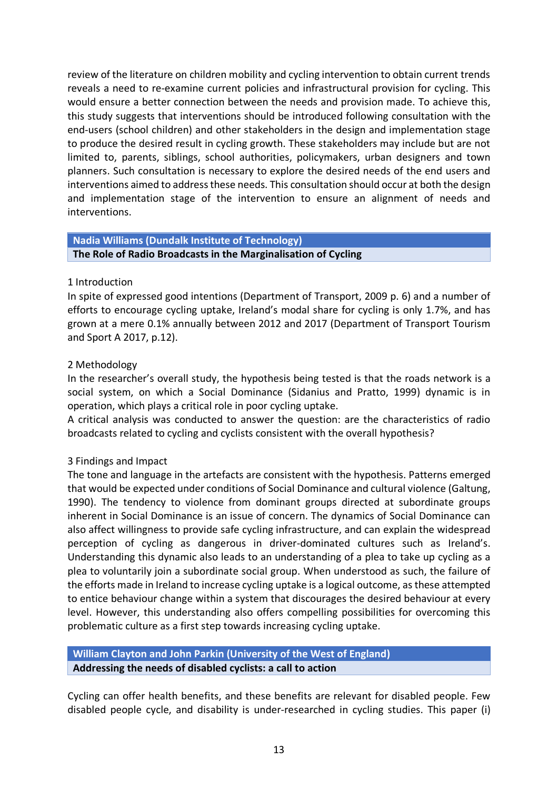review of the literature on children mobility and cycling intervention to obtain current trends reveals a need to re-examine current policies and infrastructural provision for cycling. This would ensure a better connection between the needs and provision made. To achieve this, this study suggests that interventions should be introduced following consultation with the end-users (school children) and other stakeholders in the design and implementation stage to produce the desired result in cycling growth. These stakeholders may include but are not limited to, parents, siblings, school authorities, policymakers, urban designers and town planners. Such consultation is necessary to explore the desired needs of the end users and interventions aimed to address these needs. This consultation should occur at both the design and implementation stage of the intervention to ensure an alignment of needs and interventions.

**Nadia Williams (Dundalk Institute of Technology) The Role of Radio Broadcasts in the Marginalisation of Cycling**

## 1 Introduction

In spite of expressed good intentions (Department of Transport, 2009 p. 6) and a number of efforts to encourage cycling uptake, Ireland's modal share for cycling is only 1.7%, and has grown at a mere 0.1% annually between 2012 and 2017 (Department of Transport Tourism and Sport A 2017, p.12).

## 2 Methodology

In the researcher's overall study, the hypothesis being tested is that the roads network is a social system, on which a Social Dominance (Sidanius and Pratto, 1999) dynamic is in operation, which plays a critical role in poor cycling uptake.

A critical analysis was conducted to answer the question: are the characteristics of radio broadcasts related to cycling and cyclists consistent with the overall hypothesis?

# 3 Findings and Impact

The tone and language in the artefacts are consistent with the hypothesis. Patterns emerged that would be expected under conditions of Social Dominance and cultural violence (Galtung, 1990). The tendency to violence from dominant groups directed at subordinate groups inherent in Social Dominance is an issue of concern. The dynamics of Social Dominance can also affect willingness to provide safe cycling infrastructure, and can explain the widespread perception of cycling as dangerous in driver-dominated cultures such as Ireland's. Understanding this dynamic also leads to an understanding of a plea to take up cycling as a plea to voluntarily join a subordinate social group. When understood as such, the failure of the efforts made in Ireland to increase cycling uptake is a logical outcome, as these attempted to entice behaviour change within a system that discourages the desired behaviour at every level. However, this understanding also offers compelling possibilities for overcoming this problematic culture as a first step towards increasing cycling uptake.

## **William Clayton and John Parkin (University of the West of England) Addressing the needs of disabled cyclists: a call to action**

Cycling can offer health benefits, and these benefits are relevant for disabled people. Few disabled people cycle, and disability is under-researched in cycling studies. This paper (i)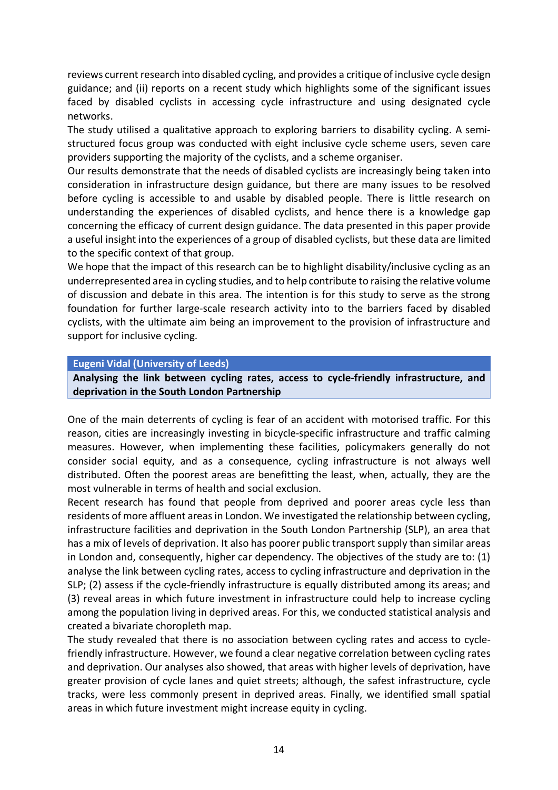reviews current research into disabled cycling, and provides a critique of inclusive cycle design guidance; and (ii) reports on a recent study which highlights some of the significant issues faced by disabled cyclists in accessing cycle infrastructure and using designated cycle networks.

The study utilised a qualitative approach to exploring barriers to disability cycling. A semistructured focus group was conducted with eight inclusive cycle scheme users, seven care providers supporting the majority of the cyclists, and a scheme organiser.

Our results demonstrate that the needs of disabled cyclists are increasingly being taken into consideration in infrastructure design guidance, but there are many issues to be resolved before cycling is accessible to and usable by disabled people. There is little research on understanding the experiences of disabled cyclists, and hence there is a knowledge gap concerning the efficacy of current design guidance. The data presented in this paper provide a useful insight into the experiences of a group of disabled cyclists, but these data are limited to the specific context of that group.

We hope that the impact of this research can be to highlight disability/inclusive cycling as an underrepresented area in cycling studies, and to help contribute to raising the relative volume of discussion and debate in this area. The intention is for this study to serve as the strong foundation for further large-scale research activity into to the barriers faced by disabled cyclists, with the ultimate aim being an improvement to the provision of infrastructure and support for inclusive cycling.

## **Eugeni Vidal (University of Leeds)**

**Analysing the link between cycling rates, access to cycle-friendly infrastructure, and deprivation in the South London Partnership**

One of the main deterrents of cycling is fear of an accident with motorised traffic. For this reason, cities are increasingly investing in bicycle-specific infrastructure and traffic calming measures. However, when implementing these facilities, policymakers generally do not consider social equity, and as a consequence, cycling infrastructure is not always well distributed. Often the poorest areas are benefitting the least, when, actually, they are the most vulnerable in terms of health and social exclusion.

Recent research has found that people from deprived and poorer areas cycle less than residents of more affluent areas in London. We investigated the relationship between cycling, infrastructure facilities and deprivation in the South London Partnership (SLP), an area that has a mix of levels of deprivation. It also has poorer public transport supply than similar areas in London and, consequently, higher car dependency. The objectives of the study are to: (1) analyse the link between cycling rates, access to cycling infrastructure and deprivation in the SLP; (2) assess if the cycle-friendly infrastructure is equally distributed among its areas; and (3) reveal areas in which future investment in infrastructure could help to increase cycling among the population living in deprived areas. For this, we conducted statistical analysis and created a bivariate choropleth map.

The study revealed that there is no association between cycling rates and access to cyclefriendly infrastructure. However, we found a clear negative correlation between cycling rates and deprivation. Our analyses also showed, that areas with higher levels of deprivation, have greater provision of cycle lanes and quiet streets; although, the safest infrastructure, cycle tracks, were less commonly present in deprived areas. Finally, we identified small spatial areas in which future investment might increase equity in cycling.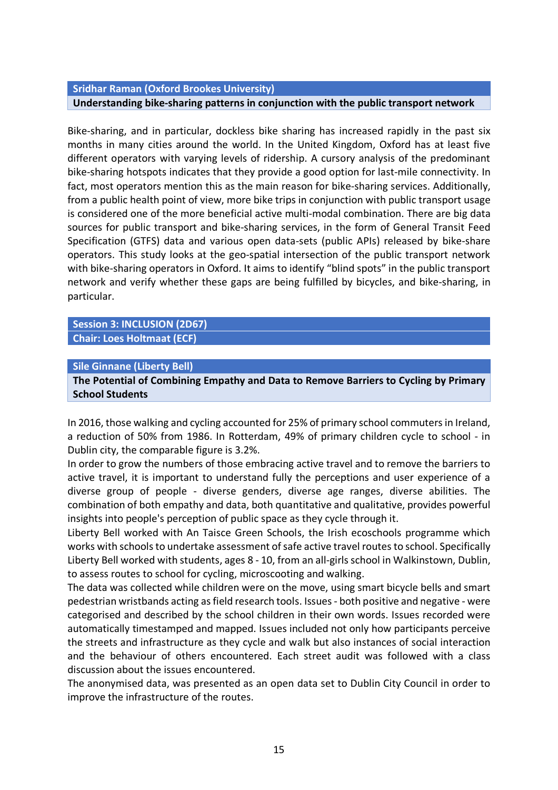# **Sridhar Raman (Oxford Brookes University) Understanding bike-sharing patterns in conjunction with the public transport network**

Bike-sharing, and in particular, dockless bike sharing has increased rapidly in the past six months in many cities around the world. In the United Kingdom, Oxford has at least five different operators with varying levels of ridership. A cursory analysis of the predominant bike-sharing hotspots indicates that they provide a good option for last-mile connectivity. In fact, most operators mention this as the main reason for bike-sharing services. Additionally, from a public health point of view, more bike trips in conjunction with public transport usage is considered one of the more beneficial active multi-modal combination. There are big data sources for public transport and bike-sharing services, in the form of General Transit Feed Specification (GTFS) data and various open data-sets (public APIs) released by bike-share operators. This study looks at the geo-spatial intersection of the public transport network with bike-sharing operators in Oxford. It aims to identify "blind spots" in the public transport network and verify whether these gaps are being fulfilled by bicycles, and bike-sharing, in particular.

## **Session 3: INCLUSION (2D67) Chair: Loes Holtmaat (ECF)**

#### **Sile Ginnane (Liberty Bell)**

**The Potential of Combining Empathy and Data to Remove Barriers to Cycling by Primary School Students**

In 2016, those walking and cycling accounted for 25% of primary school commuters in Ireland, a reduction of 50% from 1986. In Rotterdam, 49% of primary children cycle to school - in Dublin city, the comparable figure is 3.2%.

In order to grow the numbers of those embracing active travel and to remove the barriers to active travel, it is important to understand fully the perceptions and user experience of a diverse group of people - diverse genders, diverse age ranges, diverse abilities. The combination of both empathy and data, both quantitative and qualitative, provides powerful insights into people's perception of public space as they cycle through it.

Liberty Bell worked with An Taisce Green Schools, the Irish ecoschools programme which works with schools to undertake assessment of safe active travel routes to school. Specifically Liberty Bell worked with students, ages 8 - 10, from an all-girls school in Walkinstown, Dublin, to assess routes to school for cycling, microscooting and walking.

The data was collected while children were on the move, using smart bicycle bells and smart pedestrian wristbands acting as field research tools. Issues - both positive and negative - were categorised and described by the school children in their own words. Issues recorded were automatically timestamped and mapped. Issues included not only how participants perceive the streets and infrastructure as they cycle and walk but also instances of social interaction and the behaviour of others encountered. Each street audit was followed with a class discussion about the issues encountered.

The anonymised data, was presented as an open data set to Dublin City Council in order to improve the infrastructure of the routes.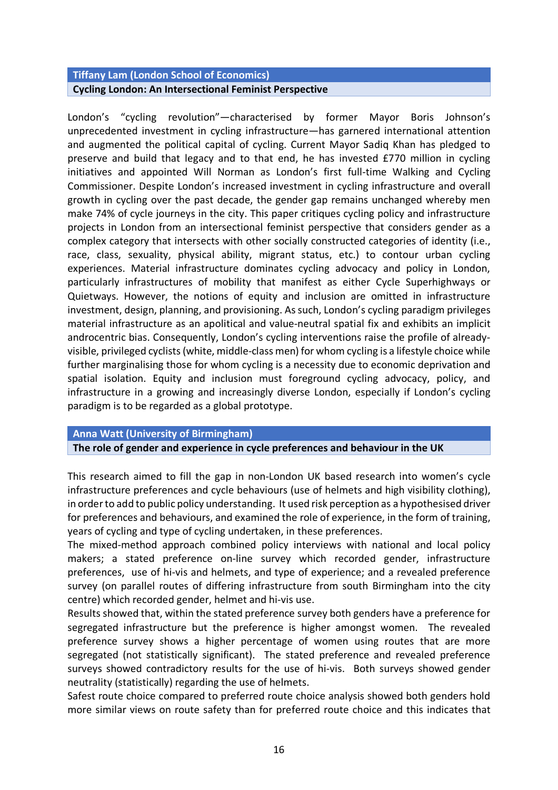# **Tiffany Lam (London School of Economics) Cycling London: An Intersectional Feminist Perspective**

London's "cycling revolution"—characterised by former Mayor Boris Johnson's unprecedented investment in cycling infrastructure—has garnered international attention and augmented the political capital of cycling. Current Mayor Sadiq Khan has pledged to preserve and build that legacy and to that end, he has invested £770 million in cycling initiatives and appointed Will Norman as London's first full-time Walking and Cycling Commissioner. Despite London's increased investment in cycling infrastructure and overall growth in cycling over the past decade, the gender gap remains unchanged whereby men make 74% of cycle journeys in the city. This paper critiques cycling policy and infrastructure projects in London from an intersectional feminist perspective that considers gender as a complex category that intersects with other socially constructed categories of identity (i.e., race, class, sexuality, physical ability, migrant status, etc.) to contour urban cycling experiences. Material infrastructure dominates cycling advocacy and policy in London, particularly infrastructures of mobility that manifest as either Cycle Superhighways or Quietways. However, the notions of equity and inclusion are omitted in infrastructure investment, design, planning, and provisioning. As such, London's cycling paradigm privileges material infrastructure as an apolitical and value-neutral spatial fix and exhibits an implicit androcentric bias. Consequently, London's cycling interventions raise the profile of alreadyvisible, privileged cyclists (white, middle-class men) for whom cycling is a lifestyle choice while further marginalising those for whom cycling is a necessity due to economic deprivation and spatial isolation. Equity and inclusion must foreground cycling advocacy, policy, and infrastructure in a growing and increasingly diverse London, especially if London's cycling paradigm is to be regarded as a global prototype.

## **Anna Watt (University of Birmingham)**

**The role of gender and experience in cycle preferences and behaviour in the UK**

This research aimed to fill the gap in non-London UK based research into women's cycle infrastructure preferences and cycle behaviours (use of helmets and high visibility clothing), in order to add to public policy understanding. It used risk perception as a hypothesised driver for preferences and behaviours, and examined the role of experience, in the form of training, years of cycling and type of cycling undertaken, in these preferences.

The mixed-method approach combined policy interviews with national and local policy makers; a stated preference on-line survey which recorded gender, infrastructure preferences, use of hi-vis and helmets, and type of experience; and a revealed preference survey (on parallel routes of differing infrastructure from south Birmingham into the city centre) which recorded gender, helmet and hi-vis use.

Results showed that, within the stated preference survey both genders have a preference for segregated infrastructure but the preference is higher amongst women. The revealed preference survey shows a higher percentage of women using routes that are more segregated (not statistically significant). The stated preference and revealed preference surveys showed contradictory results for the use of hi-vis. Both surveys showed gender neutrality (statistically) regarding the use of helmets.

Safest route choice compared to preferred route choice analysis showed both genders hold more similar views on route safety than for preferred route choice and this indicates that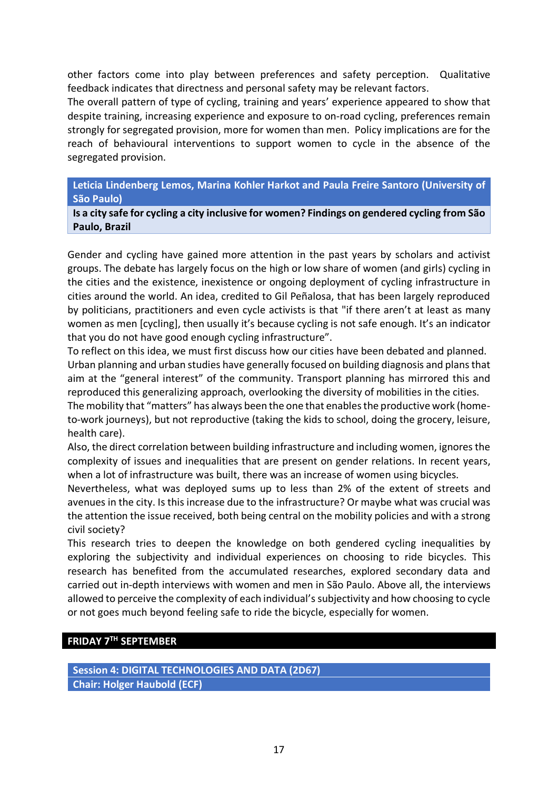other factors come into play between preferences and safety perception. Qualitative feedback indicates that directness and personal safety may be relevant factors.

The overall pattern of type of cycling, training and years' experience appeared to show that despite training, increasing experience and exposure to on-road cycling, preferences remain strongly for segregated provision, more for women than men. Policy implications are for the reach of behavioural interventions to support women to cycle in the absence of the segregated provision.

**Leticia Lindenberg Lemos, Marina Kohler Harkot and Paula Freire Santoro (University of São Paulo)**

**Is a city safe for cycling a city inclusive for women? Findings on gendered cycling from São Paulo, Brazil**

Gender and cycling have gained more attention in the past years by scholars and activist groups. The debate has largely focus on the high or low share of women (and girls) cycling in the cities and the existence, inexistence or ongoing deployment of cycling infrastructure in cities around the world. An idea, credited to Gil Peñalosa, that has been largely reproduced by politicians, practitioners and even cycle activists is that "if there aren't at least as many women as men [cycling], then usually it's because cycling is not safe enough. It's an indicator that you do not have good enough cycling infrastructure".

To reflect on this idea, we must first discuss how our cities have been debated and planned. Urban planning and urban studies have generally focused on building diagnosis and plans that aim at the "general interest" of the community. Transport planning has mirrored this and reproduced this generalizing approach, overlooking the diversity of mobilities in the cities.

The mobility that "matters" has always been the one that enables the productive work (hometo-work journeys), but not reproductive (taking the kids to school, doing the grocery, leisure, health care).

Also, the direct correlation between building infrastructure and including women, ignores the complexity of issues and inequalities that are present on gender relations. In recent years, when a lot of infrastructure was built, there was an increase of women using bicycles.

Nevertheless, what was deployed sums up to less than 2% of the extent of streets and avenues in the city. Is this increase due to the infrastructure? Or maybe what was crucial was the attention the issue received, both being central on the mobility policies and with a strong civil society?

This research tries to deepen the knowledge on both gendered cycling inequalities by exploring the subjectivity and individual experiences on choosing to ride bicycles. This research has benefited from the accumulated researches, explored secondary data and carried out in-depth interviews with women and men in São Paulo. Above all, the interviews allowed to perceive the complexity of each individual's subjectivity and how choosing to cycle or not goes much beyond feeling safe to ride the bicycle, especially for women.

# **FRIDAY 7TH SEPTEMBER**

**Session 4: DIGITAL TECHNOLOGIES AND DATA (2D67) Chair: Holger Haubold (ECF)**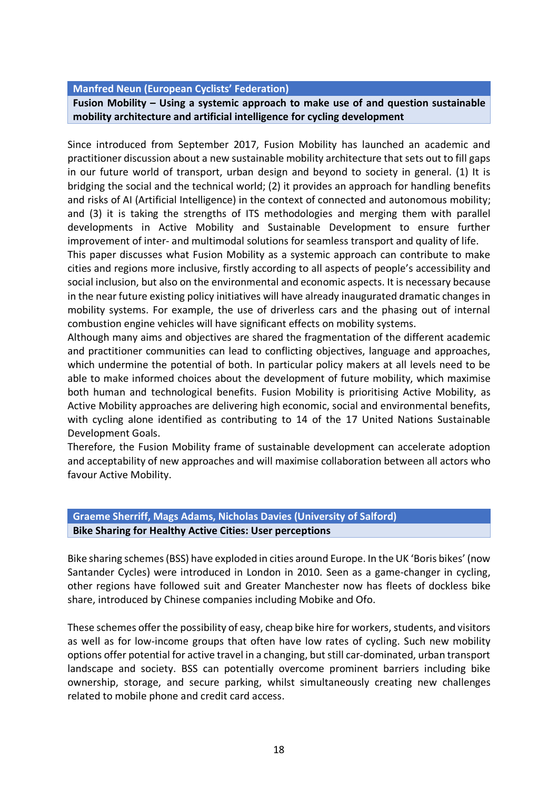#### **Manfred Neun (European Cyclists' Federation)**

**Fusion Mobility – Using a systemic approach to make use of and question sustainable mobility architecture and artificial intelligence for cycling development**

Since introduced from September 2017, Fusion Mobility has launched an academic and practitioner discussion about a new sustainable mobility architecture that sets out to fill gaps in our future world of transport, urban design and beyond to society in general. (1) It is bridging the social and the technical world; (2) it provides an approach for handling benefits and risks of AI (Artificial Intelligence) in the context of connected and autonomous mobility; and (3) it is taking the strengths of ITS methodologies and merging them with parallel developments in Active Mobility and Sustainable Development to ensure further improvement of inter- and multimodal solutions for seamless transport and quality of life.

This paper discusses what Fusion Mobility as a systemic approach can contribute to make cities and regions more inclusive, firstly according to all aspects of people's accessibility and social inclusion, but also on the environmental and economic aspects. It is necessary because in the near future existing policy initiatives will have already inaugurated dramatic changes in mobility systems. For example, the use of driverless cars and the phasing out of internal combustion engine vehicles will have significant effects on mobility systems.

Although many aims and objectives are shared the fragmentation of the different academic and practitioner communities can lead to conflicting objectives, language and approaches, which undermine the potential of both. In particular policy makers at all levels need to be able to make informed choices about the development of future mobility, which maximise both human and technological benefits. Fusion Mobility is prioritising Active Mobility, as Active Mobility approaches are delivering high economic, social and environmental benefits, with cycling alone identified as contributing to 14 of the 17 United Nations Sustainable Development Goals.

Therefore, the Fusion Mobility frame of sustainable development can accelerate adoption and acceptability of new approaches and will maximise collaboration between all actors who favour Active Mobility.

# **Graeme Sherriff, Mags Adams, Nicholas Davies (University of Salford) Bike Sharing for Healthy Active Cities: User perceptions**

Bike sharing schemes (BSS) have exploded in cities around Europe. In the UK 'Boris bikes' (now Santander Cycles) were introduced in London in 2010. Seen as a game-changer in cycling, other regions have followed suit and Greater Manchester now has fleets of dockless bike share, introduced by Chinese companies including Mobike and Ofo.

These schemes offer the possibility of easy, cheap bike hire for workers, students, and visitors as well as for low-income groups that often have low rates of cycling. Such new mobility options offer potential for active travel in a changing, but still car-dominated, urban transport landscape and society. BSS can potentially overcome prominent barriers including bike ownership, storage, and secure parking, whilst simultaneously creating new challenges related to mobile phone and credit card access.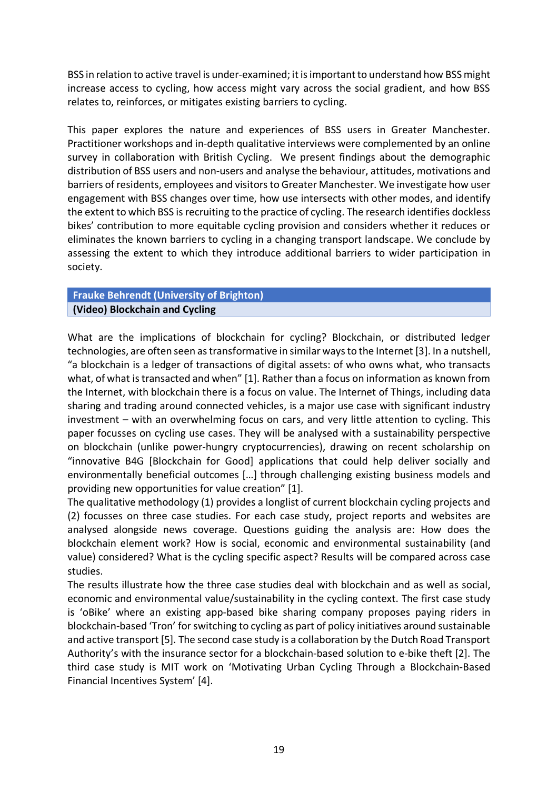BSS in relation to active travel is under-examined; it is important to understand how BSS might increase access to cycling, how access might vary across the social gradient, and how BSS relates to, reinforces, or mitigates existing barriers to cycling.

This paper explores the nature and experiences of BSS users in Greater Manchester. Practitioner workshops and in-depth qualitative interviews were complemented by an online survey in collaboration with British Cycling. We present findings about the demographic distribution of BSS users and non-users and analyse the behaviour, attitudes, motivations and barriers of residents, employees and visitors to Greater Manchester. We investigate how user engagement with BSS changes over time, how use intersects with other modes, and identify the extent to which BSS is recruiting to the practice of cycling. The research identifies dockless bikes' contribution to more equitable cycling provision and considers whether it reduces or eliminates the known barriers to cycling in a changing transport landscape. We conclude by assessing the extent to which they introduce additional barriers to wider participation in society.

**Frauke Behrendt (University of Brighton) (Video) Blockchain and Cycling**

What are the implications of blockchain for cycling? Blockchain, or distributed ledger technologies, are often seen as transformative in similar ways to the Internet [3]. In a nutshell, "a blockchain is a ledger of transactions of digital assets: of who owns what, who transacts what, of what is transacted and when" [1]. Rather than a focus on information as known from the Internet, with blockchain there is a focus on value. The Internet of Things, including data sharing and trading around connected vehicles, is a major use case with significant industry investment – with an overwhelming focus on cars, and very little attention to cycling. This paper focusses on cycling use cases. They will be analysed with a sustainability perspective on blockchain (unlike power-hungry cryptocurrencies), drawing on recent scholarship on "innovative B4G [Blockchain for Good] applications that could help deliver socially and environmentally beneficial outcomes […] through challenging existing business models and providing new opportunities for value creation" [1].

The qualitative methodology (1) provides a longlist of current blockchain cycling projects and (2) focusses on three case studies. For each case study, project reports and websites are analysed alongside news coverage. Questions guiding the analysis are: How does the blockchain element work? How is social, economic and environmental sustainability (and value) considered? What is the cycling specific aspect? Results will be compared across case studies.

The results illustrate how the three case studies deal with blockchain and as well as social, economic and environmental value/sustainability in the cycling context. The first case study is 'oBike' where an existing app-based bike sharing company proposes paying riders in blockchain-based 'Tron' for switching to cycling as part of policy initiatives around sustainable and active transport [5]. The second case study is a collaboration by the Dutch Road Transport Authority's with the insurance sector for a blockchain-based solution to e-bike theft [2]. The third case study is MIT work on 'Motivating Urban Cycling Through a Blockchain-Based Financial Incentives System' [4].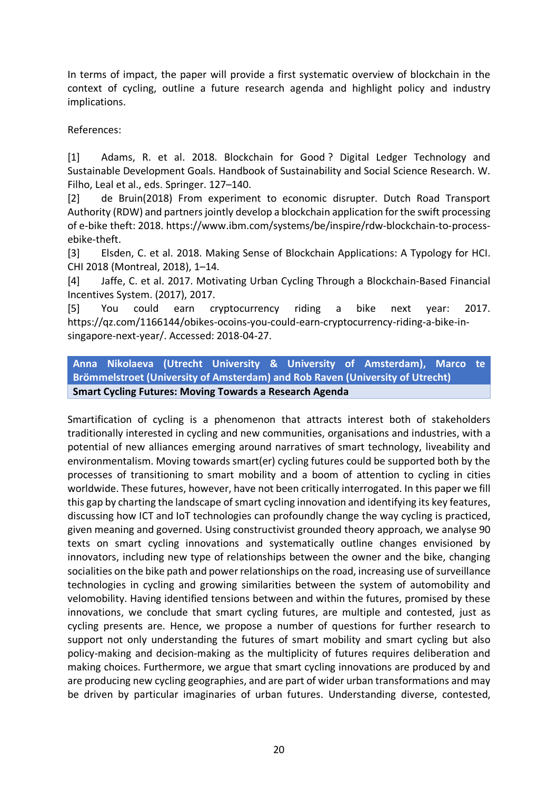In terms of impact, the paper will provide a first systematic overview of blockchain in the context of cycling, outline a future research agenda and highlight policy and industry implications.

References:

[1] Adams, R. et al. 2018. Blockchain for Good ? Digital Ledger Technology and Sustainable Development Goals. Handbook of Sustainability and Social Science Research. W. Filho, Leal et al., eds. Springer. 127–140.

[2] de Bruin(2018) From experiment to economic disrupter. Dutch Road Transport Authority (RDW) and partners jointly develop a blockchain application for the swift processing of e-bike theft: 2018. https://www.ibm.com/systems/be/inspire/rdw-blockchain-to-processebike-theft.

[3] Elsden, C. et al. 2018. Making Sense of Blockchain Applications: A Typology for HCI. CHI 2018 (Montreal, 2018), 1–14.

[4] Jaffe, C. et al. 2017. Motivating Urban Cycling Through a Blockchain-Based Financial Incentives System. (2017), 2017.

[5] You could earn cryptocurrency riding a bike next year: 2017. https://qz.com/1166144/obikes-ocoins-you-could-earn-cryptocurrency-riding-a-bike-insingapore-next-year/. Accessed: 2018-04-27.

**Anna Nikolaeva (Utrecht University & University of Amsterdam), Marco te Brömmelstroet (University of Amsterdam) and Rob Raven (University of Utrecht) Smart Cycling Futures: Moving Towards a Research Agenda**

Smartification of cycling is a phenomenon that attracts interest both of stakeholders traditionally interested in cycling and new communities, organisations and industries, with a potential of new alliances emerging around narratives of smart technology, liveability and environmentalism. Moving towards smart(er) cycling futures could be supported both by the processes of transitioning to smart mobility and a boom of attention to cycling in cities worldwide. These futures, however, have not been critically interrogated. In this paper we fill this gap by charting the landscape of smart cycling innovation and identifying its key features, discussing how ICT and IoT technologies can profoundly change the way cycling is practiced, given meaning and governed. Using constructivist grounded theory approach, we analyse 90 texts on smart cycling innovations and systematically outline changes envisioned by innovators, including new type of relationships between the owner and the bike, changing socialities on the bike path and power relationships on the road, increasing use of surveillance technologies in cycling and growing similarities between the system of automobility and velomobility. Having identified tensions between and within the futures, promised by these innovations, we conclude that smart cycling futures, are multiple and contested, just as cycling presents are. Hence, we propose a number of questions for further research to support not only understanding the futures of smart mobility and smart cycling but also policy-making and decision-making as the multiplicity of futures requires deliberation and making choices. Furthermore, we argue that smart cycling innovations are produced by and are producing new cycling geographies, and are part of wider urban transformations and may be driven by particular imaginaries of urban futures. Understanding diverse, contested,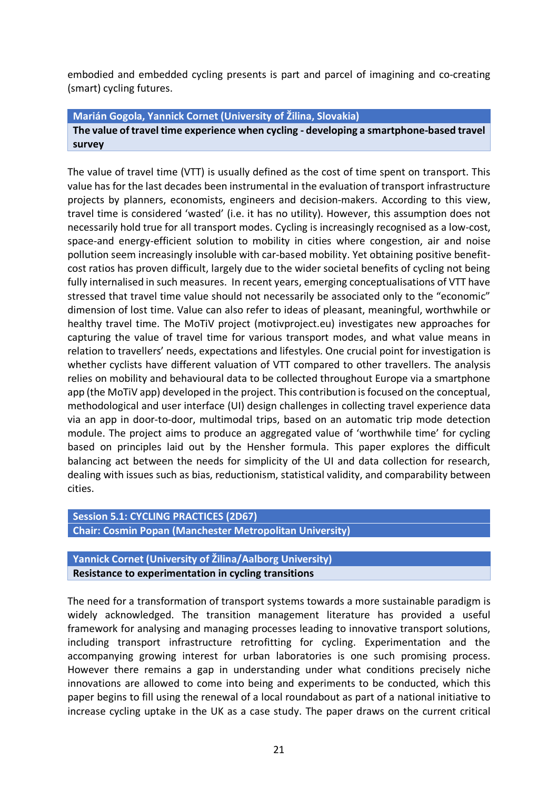embodied and embedded cycling presents is part and parcel of imagining and co-creating (smart) cycling futures.

**Marián Gogola, Yannick Cornet (University of Žilina, Slovakia) The value of travel time experience when cycling - developing a smartphone-based travel survey**

The value of travel time (VTT) is usually defined as the cost of time spent on transport. This value has for the last decades been instrumental in the evaluation of transport infrastructure projects by planners, economists, engineers and decision-makers. According to this view, travel time is considered 'wasted' (i.e. it has no utility). However, this assumption does not necessarily hold true for all transport modes. Cycling is increasingly recognised as a low-cost, space-and energy-efficient solution to mobility in cities where congestion, air and noise pollution seem increasingly insoluble with car-based mobility. Yet obtaining positive benefitcost ratios has proven difficult, largely due to the wider societal benefits of cycling not being fully internalised in such measures. In recent years, emerging conceptualisations of VTT have stressed that travel time value should not necessarily be associated only to the "economic" dimension of lost time. Value can also refer to ideas of pleasant, meaningful, worthwhile or healthy travel time. The MoTiV project (motivproject.eu) investigates new approaches for capturing the value of travel time for various transport modes, and what value means in relation to travellers' needs, expectations and lifestyles. One crucial point for investigation is whether cyclists have different valuation of VTT compared to other travellers. The analysis relies on mobility and behavioural data to be collected throughout Europe via a smartphone app (the MoTiV app) developed in the project. This contribution is focused on the conceptual, methodological and user interface (UI) design challenges in collecting travel experience data via an app in door-to-door, multimodal trips, based on an automatic trip mode detection module. The project aims to produce an aggregated value of 'worthwhile time' for cycling based on principles laid out by the Hensher formula. This paper explores the difficult balancing act between the needs for simplicity of the UI and data collection for research, dealing with issues such as bias, reductionism, statistical validity, and comparability between cities.

**Session 5.1: CYCLING PRACTICES (2D67) Chair: Cosmin Popan (Manchester Metropolitan University)** 

**Yannick Cornet (University of Žilina/Aalborg University) Resistance to experimentation in cycling transitions**

The need for a transformation of transport systems towards a more sustainable paradigm is widely acknowledged. The transition management literature has provided a useful framework for analysing and managing processes leading to innovative transport solutions, including transport infrastructure retrofitting for cycling. Experimentation and the accompanying growing interest for urban laboratories is one such promising process. However there remains a gap in understanding under what conditions precisely niche innovations are allowed to come into being and experiments to be conducted, which this paper begins to fill using the renewal of a local roundabout as part of a national initiative to increase cycling uptake in the UK as a case study. The paper draws on the current critical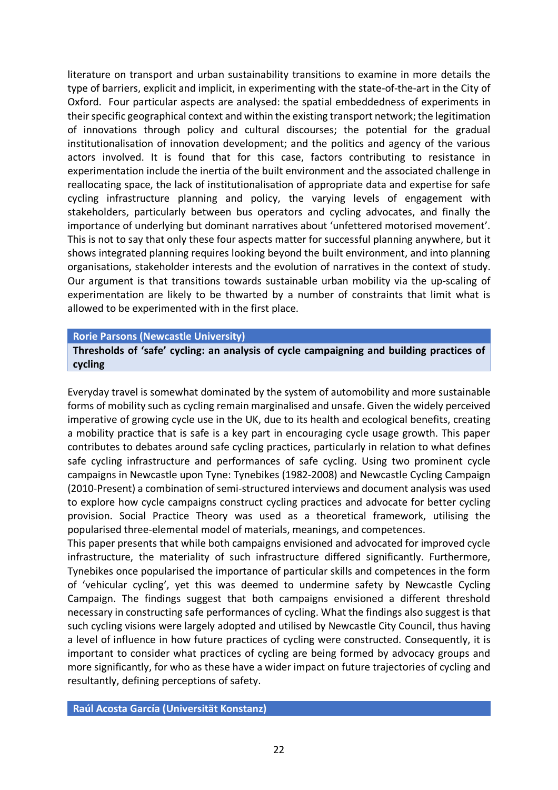literature on transport and urban sustainability transitions to examine in more details the type of barriers, explicit and implicit, in experimenting with the state-of-the-art in the City of Oxford. Four particular aspects are analysed: the spatial embeddedness of experiments in their specific geographical context and within the existing transport network; the legitimation of innovations through policy and cultural discourses; the potential for the gradual institutionalisation of innovation development; and the politics and agency of the various actors involved. It is found that for this case, factors contributing to resistance in experimentation include the inertia of the built environment and the associated challenge in reallocating space, the lack of institutionalisation of appropriate data and expertise for safe cycling infrastructure planning and policy, the varying levels of engagement with stakeholders, particularly between bus operators and cycling advocates, and finally the importance of underlying but dominant narratives about 'unfettered motorised movement'. This is not to say that only these four aspects matter for successful planning anywhere, but it shows integrated planning requires looking beyond the built environment, and into planning organisations, stakeholder interests and the evolution of narratives in the context of study. Our argument is that transitions towards sustainable urban mobility via the up-scaling of experimentation are likely to be thwarted by a number of constraints that limit what is allowed to be experimented with in the first place.

#### **Rorie Parsons (Newcastle University)**

## **Thresholds of 'safe' cycling: an analysis of cycle campaigning and building practices of cycling**

Everyday travel is somewhat dominated by the system of automobility and more sustainable forms of mobility such as cycling remain marginalised and unsafe. Given the widely perceived imperative of growing cycle use in the UK, due to its health and ecological benefits, creating a mobility practice that is safe is a key part in encouraging cycle usage growth. This paper contributes to debates around safe cycling practices, particularly in relation to what defines safe cycling infrastructure and performances of safe cycling. Using two prominent cycle campaigns in Newcastle upon Tyne: Tynebikes (1982-2008) and Newcastle Cycling Campaign (2010-Present) a combination of semi-structured interviews and document analysis was used to explore how cycle campaigns construct cycling practices and advocate for better cycling provision. Social Practice Theory was used as a theoretical framework, utilising the popularised three-elemental model of materials, meanings, and competences.

This paper presents that while both campaigns envisioned and advocated for improved cycle infrastructure, the materiality of such infrastructure differed significantly. Furthermore, Tynebikes once popularised the importance of particular skills and competences in the form of 'vehicular cycling', yet this was deemed to undermine safety by Newcastle Cycling Campaign. The findings suggest that both campaigns envisioned a different threshold necessary in constructing safe performances of cycling. What the findings also suggest is that such cycling visions were largely adopted and utilised by Newcastle City Council, thus having a level of influence in how future practices of cycling were constructed. Consequently, it is important to consider what practices of cycling are being formed by advocacy groups and more significantly, for who as these have a wider impact on future trajectories of cycling and resultantly, defining perceptions of safety.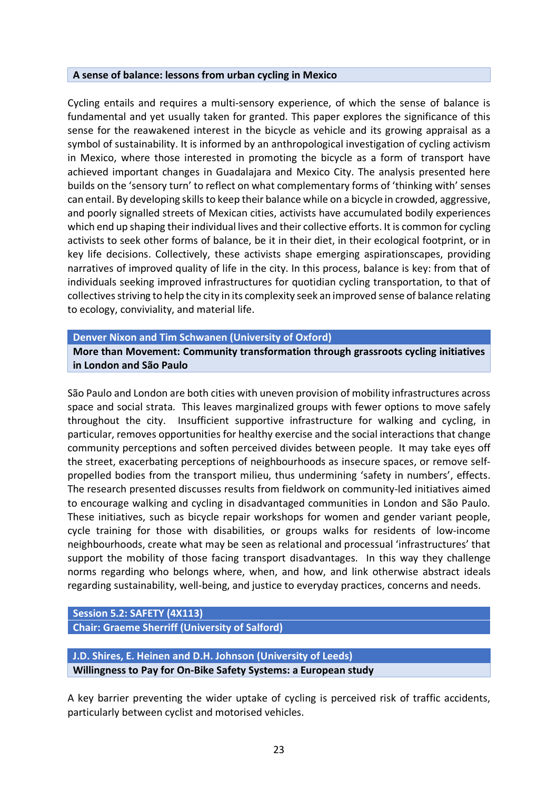#### **A sense of balance: lessons from urban cycling in Mexico**

Cycling entails and requires a multi-sensory experience, of which the sense of balance is fundamental and yet usually taken for granted. This paper explores the significance of this sense for the reawakened interest in the bicycle as vehicle and its growing appraisal as a symbol of sustainability. It is informed by an anthropological investigation of cycling activism in Mexico, where those interested in promoting the bicycle as a form of transport have achieved important changes in Guadalajara and Mexico City. The analysis presented here builds on the 'sensory turn' to reflect on what complementary forms of 'thinking with' senses can entail. By developing skills to keep their balance while on a bicycle in crowded, aggressive, and poorly signalled streets of Mexican cities, activists have accumulated bodily experiences which end up shaping their individual lives and their collective efforts. It is common for cycling activists to seek other forms of balance, be it in their diet, in their ecological footprint, or in key life decisions. Collectively, these activists shape emerging aspirationscapes, providing narratives of improved quality of life in the city. In this process, balance is key: from that of individuals seeking improved infrastructures for quotidian cycling transportation, to that of collectives striving to help the city in its complexity seek an improved sense of balance relating to ecology, conviviality, and material life.

**Denver Nixon and Tim Schwanen (University of Oxford)**

**More than Movement: Community transformation through grassroots cycling initiatives in London and São Paulo**

São Paulo and London are both cities with uneven provision of mobility infrastructures across space and social strata. This leaves marginalized groups with fewer options to move safely throughout the city. Insufficient supportive infrastructure for walking and cycling, in particular, removes opportunities for healthy exercise and the social interactions that change community perceptions and soften perceived divides between people. It may take eyes off the street, exacerbating perceptions of neighbourhoods as insecure spaces, or remove selfpropelled bodies from the transport milieu, thus undermining 'safety in numbers', effects. The research presented discusses results from fieldwork on community-led initiatives aimed to encourage walking and cycling in disadvantaged communities in London and São Paulo. These initiatives, such as bicycle repair workshops for women and gender variant people, cycle training for those with disabilities, or groups walks for residents of low-income neighbourhoods, create what may be seen as relational and processual 'infrastructures' that support the mobility of those facing transport disadvantages. In this way they challenge norms regarding who belongs where, when, and how, and link otherwise abstract ideals regarding sustainability, well-being, and justice to everyday practices, concerns and needs.

## **Session 5.2: SAFETY (4X113)**

**Chair: Graeme Sherriff (University of Salford)**

**J.D. Shires, E. Heinen and D.H. Johnson (University of Leeds) Willingness to Pay for On-Bike Safety Systems: a European study**

A key barrier preventing the wider uptake of cycling is perceived risk of traffic accidents, particularly between cyclist and motorised vehicles.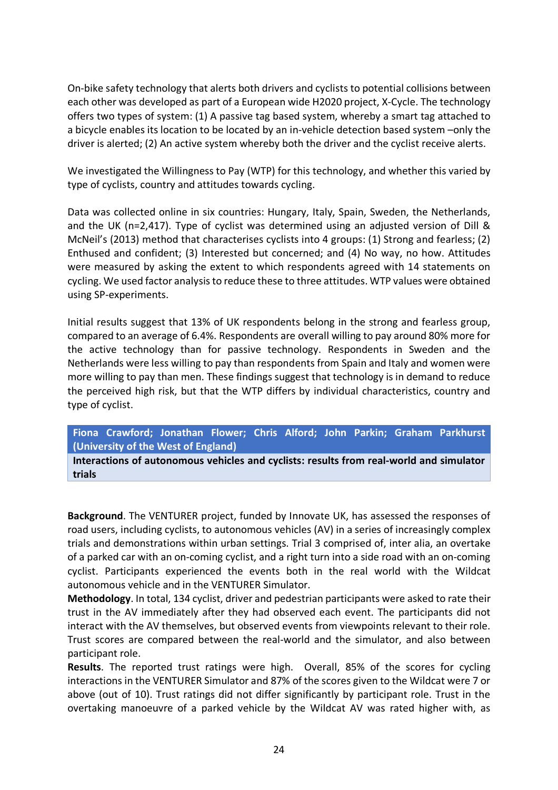On-bike safety technology that alerts both drivers and cyclists to potential collisions between each other was developed as part of a European wide H2020 project, X-Cycle. The technology offers two types of system: (1) A passive tag based system, whereby a smart tag attached to a bicycle enables its location to be located by an in-vehicle detection based system –only the driver is alerted; (2) An active system whereby both the driver and the cyclist receive alerts.

We investigated the Willingness to Pay (WTP) for this technology, and whether this varied by type of cyclists, country and attitudes towards cycling.

Data was collected online in six countries: Hungary, Italy, Spain, Sweden, the Netherlands, and the UK (n=2,417). Type of cyclist was determined using an adjusted version of Dill & McNeil's (2013) method that characterises cyclists into 4 groups: (1) Strong and fearless; (2) Enthused and confident; (3) Interested but concerned; and (4) No way, no how. Attitudes were measured by asking the extent to which respondents agreed with 14 statements on cycling. We used factor analysis to reduce these to three attitudes. WTP values were obtained using SP-experiments.

Initial results suggest that 13% of UK respondents belong in the strong and fearless group, compared to an average of 6.4%. Respondents are overall willing to pay around 80% more for the active technology than for passive technology. Respondents in Sweden and the Netherlands were less willing to pay than respondents from Spain and Italy and women were more willing to pay than men. These findings suggest that technology is in demand to reduce the perceived high risk, but that the WTP differs by individual characteristics, country and type of cyclist.

**Fiona Crawford; Jonathan Flower; Chris Alford; John Parkin; Graham Parkhurst (University of the West of England)**

**Interactions of autonomous vehicles and cyclists: results from real-world and simulator trials**

**Background**. The VENTURER project, funded by Innovate UK, has assessed the responses of road users, including cyclists, to autonomous vehicles (AV) in a series of increasingly complex trials and demonstrations within urban settings. Trial 3 comprised of, inter alia, an overtake of a parked car with an on-coming cyclist, and a right turn into a side road with an on-coming cyclist. Participants experienced the events both in the real world with the Wildcat autonomous vehicle and in the VENTURER Simulator.

**Methodology**. In total, 134 cyclist, driver and pedestrian participants were asked to rate their trust in the AV immediately after they had observed each event. The participants did not interact with the AV themselves, but observed events from viewpoints relevant to their role. Trust scores are compared between the real-world and the simulator, and also between participant role.

**Results**. The reported trust ratings were high. Overall, 85% of the scores for cycling interactions in the VENTURER Simulator and 87% of the scores given to the Wildcat were 7 or above (out of 10). Trust ratings did not differ significantly by participant role. Trust in the overtaking manoeuvre of a parked vehicle by the Wildcat AV was rated higher with, as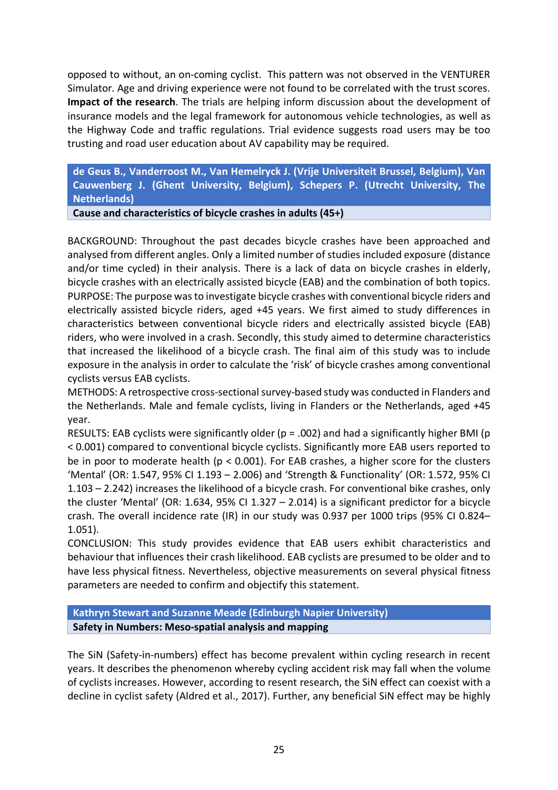opposed to without, an on-coming cyclist. This pattern was not observed in the VENTURER Simulator. Age and driving experience were not found to be correlated with the trust scores. **Impact of the research**. The trials are helping inform discussion about the development of insurance models and the legal framework for autonomous vehicle technologies, as well as the Highway Code and traffic regulations. Trial evidence suggests road users may be too trusting and road user education about AV capability may be required.

**de Geus B., Vanderroost M., Van Hemelryck J. (Vrije Universiteit Brussel, Belgium), Van Cauwenberg J. (Ghent University, Belgium), Schepers P. (Utrecht University, The Netherlands)**

**Cause and characteristics of bicycle crashes in adults (45+)**

BACKGROUND: Throughout the past decades bicycle crashes have been approached and analysed from different angles. Only a limited number of studies included exposure (distance and/or time cycled) in their analysis. There is a lack of data on bicycle crashes in elderly, bicycle crashes with an electrically assisted bicycle (EAB) and the combination of both topics. PURPOSE: The purpose was to investigate bicycle crashes with conventional bicycle riders and electrically assisted bicycle riders, aged +45 years. We first aimed to study differences in characteristics between conventional bicycle riders and electrically assisted bicycle (EAB) riders, who were involved in a crash. Secondly, this study aimed to determine characteristics that increased the likelihood of a bicycle crash. The final aim of this study was to include exposure in the analysis in order to calculate the 'risk' of bicycle crashes among conventional cyclists versus EAB cyclists.

METHODS: A retrospective cross-sectional survey-based study was conducted in Flanders and the Netherlands. Male and female cyclists, living in Flanders or the Netherlands, aged +45 year.

RESULTS: EAB cyclists were significantly older ( $p = .002$ ) and had a significantly higher BMI ( $p$ ) < 0.001) compared to conventional bicycle cyclists. Significantly more EAB users reported to be in poor to moderate health ( $p < 0.001$ ). For EAB crashes, a higher score for the clusters 'Mental' (OR: 1.547, 95% CI 1.193 – 2.006) and 'Strength & Functionality' (OR: 1.572, 95% CI 1.103 – 2.242) increases the likelihood of a bicycle crash. For conventional bike crashes, only the cluster 'Mental' (OR: 1.634, 95% CI 1.327 – 2.014) is a significant predictor for a bicycle crash. The overall incidence rate (IR) in our study was 0.937 per 1000 trips (95% CI 0.824– 1.051).

CONCLUSION: This study provides evidence that EAB users exhibit characteristics and behaviour that influences their crash likelihood. EAB cyclists are presumed to be older and to have less physical fitness. Nevertheless, objective measurements on several physical fitness parameters are needed to confirm and objectify this statement.

# **Kathryn Stewart and Suzanne Meade (Edinburgh Napier University) Safety in Numbers: Meso-spatial analysis and mapping**

The SiN (Safety-in-numbers) effect has become prevalent within cycling research in recent years. It describes the phenomenon whereby cycling accident risk may fall when the volume of cyclists increases. However, according to resent research, the SiN effect can coexist with a decline in cyclist safety (Aldred et al., 2017). Further, any beneficial SiN effect may be highly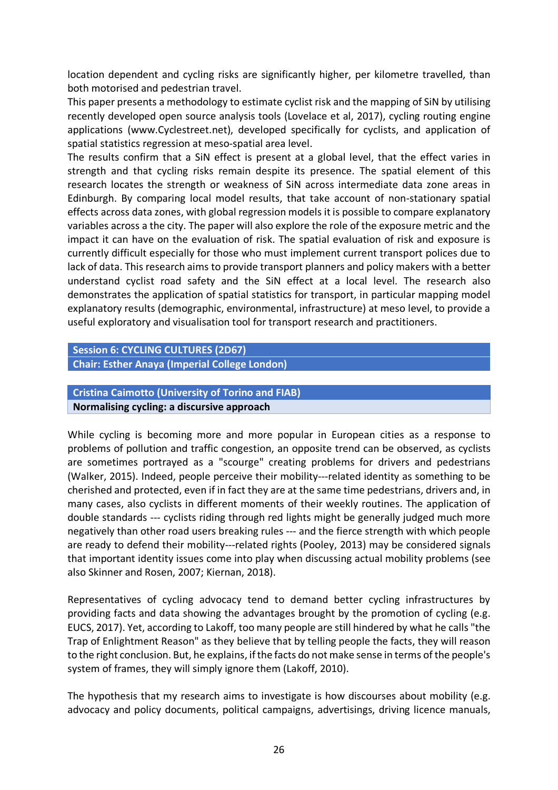location dependent and cycling risks are significantly higher, per kilometre travelled, than both motorised and pedestrian travel.

This paper presents a methodology to estimate cyclist risk and the mapping of SiN by utilising recently developed open source analysis tools (Lovelace et al, 2017), cycling routing engine applications (www.Cyclestreet.net), developed specifically for cyclists, and application of spatial statistics regression at meso-spatial area level.

The results confirm that a SiN effect is present at a global level, that the effect varies in strength and that cycling risks remain despite its presence. The spatial element of this research locates the strength or weakness of SiN across intermediate data zone areas in Edinburgh. By comparing local model results, that take account of non-stationary spatial effects across data zones, with global regression models it is possible to compare explanatory variables across a the city. The paper will also explore the role of the exposure metric and the impact it can have on the evaluation of risk. The spatial evaluation of risk and exposure is currently difficult especially for those who must implement current transport polices due to lack of data. This research aims to provide transport planners and policy makers with a better understand cyclist road safety and the SiN effect at a local level. The research also demonstrates the application of spatial statistics for transport, in particular mapping model explanatory results (demographic, environmental, infrastructure) at meso level, to provide a useful exploratory and visualisation tool for transport research and practitioners.

## **Session 6: CYCLING CULTURES (2D67) Chair: Esther Anaya (Imperial College London)**

**Cristina Caimotto (University of Torino and FIAB)**

**Normalising cycling: a discursive approach**

While cycling is becoming more and more popular in European cities as a response to problems of pollution and traffic congestion, an opposite trend can be observed, as cyclists are sometimes portrayed as a "scourge" creating problems for drivers and pedestrians (Walker, 2015). Indeed, people perceive their mobility---related identity as something to be cherished and protected, even if in fact they are at the same time pedestrians, drivers and, in many cases, also cyclists in different moments of their weekly routines. The application of double standards --- cyclists riding through red lights might be generally judged much more negatively than other road users breaking rules --- and the fierce strength with which people are ready to defend their mobility---related rights (Pooley, 2013) may be considered signals that important identity issues come into play when discussing actual mobility problems (see also Skinner and Rosen, 2007; Kiernan, 2018).

Representatives of cycling advocacy tend to demand better cycling infrastructures by providing facts and data showing the advantages brought by the promotion of cycling (e.g. EUCS, 2017). Yet, according to Lakoff, too many people are still hindered by what he calls "the Trap of Enlightment Reason" as they believe that by telling people the facts, they will reason to the right conclusion. But, he explains, if the facts do not make sense in terms of the people's system of frames, they will simply ignore them (Lakoff, 2010).

The hypothesis that my research aims to investigate is how discourses about mobility (e.g. advocacy and policy documents, political campaigns, advertisings, driving licence manuals,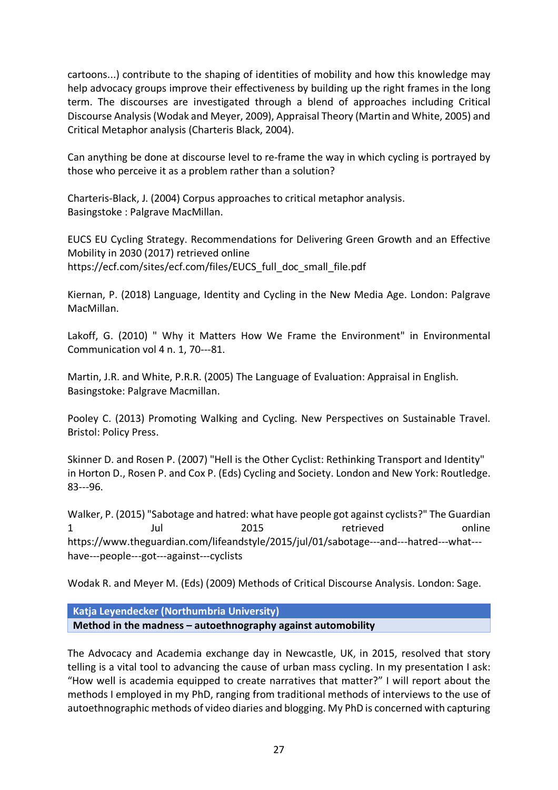cartoons...) contribute to the shaping of identities of mobility and how this knowledge may help advocacy groups improve their effectiveness by building up the right frames in the long term. The discourses are investigated through a blend of approaches including Critical Discourse Analysis (Wodak and Meyer, 2009), Appraisal Theory (Martin and White, 2005) and Critical Metaphor analysis (Charteris Black, 2004).

Can anything be done at discourse level to re-frame the way in which cycling is portrayed by those who perceive it as a problem rather than a solution?

Charteris-Black, J. (2004) Corpus approaches to critical metaphor analysis. Basingstoke : Palgrave MacMillan.

EUCS EU Cycling Strategy. Recommendations for Delivering Green Growth and an Effective Mobility in 2030 (2017) retrieved online https://ecf.com/sites/ecf.com/files/EUCS\_full\_doc\_small\_file.pdf

Kiernan, P. (2018) Language, Identity and Cycling in the New Media Age. London: Palgrave MacMillan.

Lakoff, G. (2010) " Why it Matters How We Frame the Environment" in Environmental Communication vol 4 n. 1, 70---81.

Martin, J.R. and White, P.R.R. (2005) The Language of Evaluation: Appraisal in English. Basingstoke: Palgrave Macmillan.

Pooley C. (2013) Promoting Walking and Cycling. New Perspectives on Sustainable Travel. Bristol: Policy Press.

Skinner D. and Rosen P. (2007) "Hell is the Other Cyclist: Rethinking Transport and Identity" in Horton D., Rosen P. and Cox P. (Eds) Cycling and Society. London and New York: Routledge. 83---96.

Walker, P. (2015) "Sabotage and hatred: what have people got against cyclists?" The Guardian 1 according to the UPL 2015 contrieved online https://www.theguardian.com/lifeandstyle/2015/jul/01/sabotage---and---hatred---what-- have---people---got---against---cyclists

Wodak R. and Meyer M. (Eds) (2009) Methods of Critical Discourse Analysis. London: Sage.

**Katja Leyendecker (Northumbria University) Method in the madness – autoethnography against automobility**

The Advocacy and Academia exchange day in Newcastle, UK, in 2015, resolved that story telling is a vital tool to advancing the cause of urban mass cycling. In my presentation I ask: "How well is academia equipped to create narratives that matter?" I will report about the methods I employed in my PhD, ranging from traditional methods of interviews to the use of autoethnographic methods of video diaries and blogging. My PhD is concerned with capturing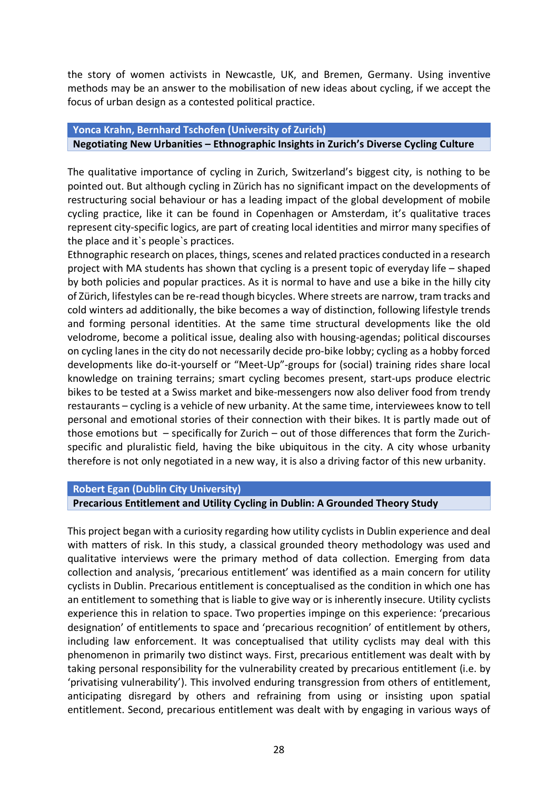the story of women activists in Newcastle, UK, and Bremen, Germany. Using inventive methods may be an answer to the mobilisation of new ideas about cycling, if we accept the focus of urban design as a contested political practice.

## **Yonca Krahn, Bernhard Tschofen (University of Zurich)**

## **Negotiating New Urbanities – Ethnographic Insights in Zurich's Diverse Cycling Culture**

The qualitative importance of cycling in Zurich, Switzerland's biggest city, is nothing to be pointed out. But although cycling in Zürich has no significant impact on the developments of restructuring social behaviour or has a leading impact of the global development of mobile cycling practice, like it can be found in Copenhagen or Amsterdam, it's qualitative traces represent city-specific logics, are part of creating local identities and mirror many specifies of the place and it`s people`s practices.

Ethnographic research on places, things, scenes and related practices conducted in a research project with MA students has shown that cycling is a present topic of everyday life – shaped by both policies and popular practices. As it is normal to have and use a bike in the hilly city of Zürich, lifestyles can be re-read though bicycles. Where streets are narrow, tram tracks and cold winters ad additionally, the bike becomes a way of distinction, following lifestyle trends and forming personal identities. At the same time structural developments like the old velodrome, become a political issue, dealing also with housing-agendas; political discourses on cycling lanes in the city do not necessarily decide pro-bike lobby; cycling as a hobby forced developments like do-it-yourself or "Meet-Up"-groups for (social) training rides share local knowledge on training terrains; smart cycling becomes present, start-ups produce electric bikes to be tested at a Swiss market and bike-messengers now also deliver food from trendy restaurants – cycling is a vehicle of new urbanity. At the same time, interviewees know to tell personal and emotional stories of their connection with their bikes. It is partly made out of those emotions but – specifically for Zurich – out of those differences that form the Zurichspecific and pluralistic field, having the bike ubiquitous in the city. A city whose urbanity therefore is not only negotiated in a new way, it is also a driving factor of this new urbanity.

## **Robert Egan (Dublin City University)**

## **Precarious Entitlement and Utility Cycling in Dublin: A Grounded Theory Study**

This project began with a curiosity regarding how utility cyclists in Dublin experience and deal with matters of risk. In this study, a classical grounded theory methodology was used and qualitative interviews were the primary method of data collection. Emerging from data collection and analysis, 'precarious entitlement' was identified as a main concern for utility cyclists in Dublin. Precarious entitlement is conceptualised as the condition in which one has an entitlement to something that is liable to give way or is inherently insecure. Utility cyclists experience this in relation to space. Two properties impinge on this experience: 'precarious designation' of entitlements to space and 'precarious recognition' of entitlement by others, including law enforcement. It was conceptualised that utility cyclists may deal with this phenomenon in primarily two distinct ways. First, precarious entitlement was dealt with by taking personal responsibility for the vulnerability created by precarious entitlement (i.e. by 'privatising vulnerability'). This involved enduring transgression from others of entitlement, anticipating disregard by others and refraining from using or insisting upon spatial entitlement. Second, precarious entitlement was dealt with by engaging in various ways of